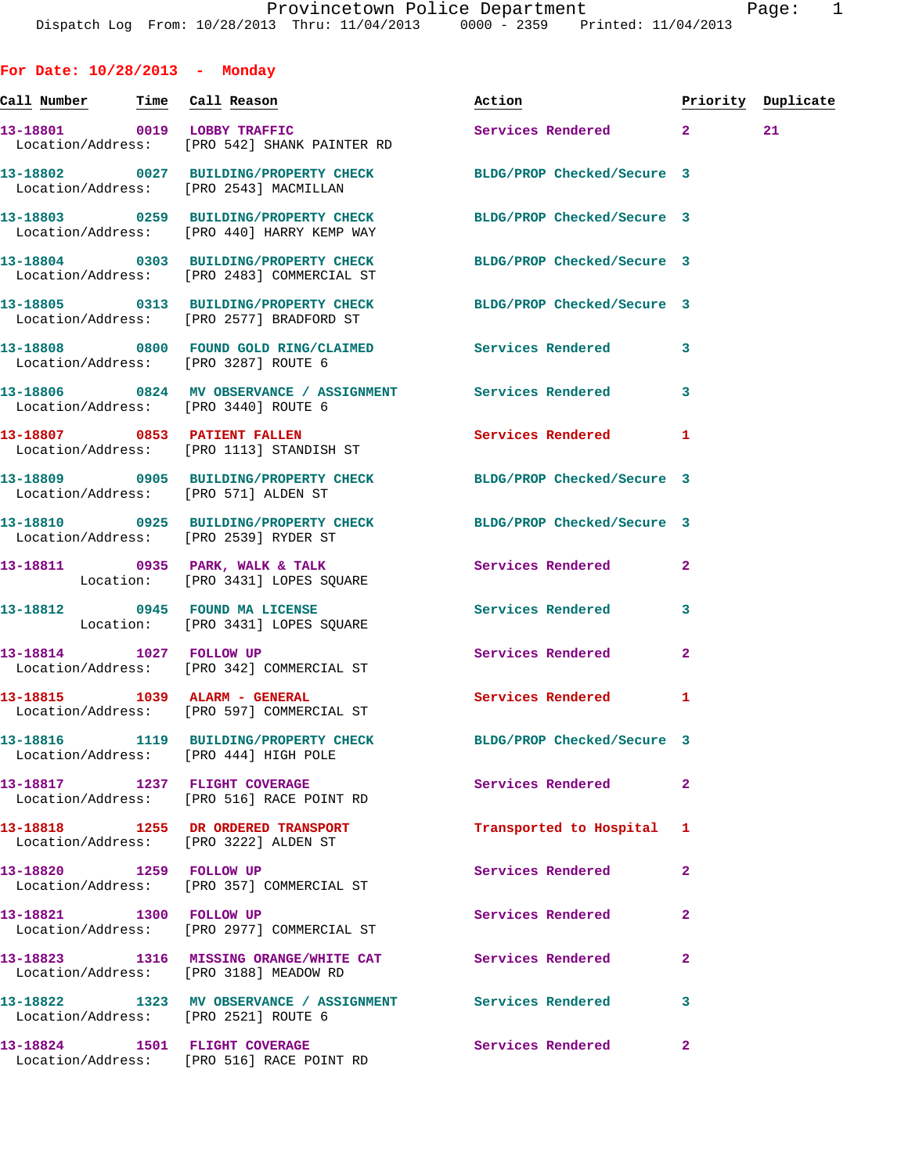**For Date: 10/28/2013 - Monday** Call Number Time Call Reason **Reason Action Action** Priority Duplicate **13-18801 0019 LOBBY TRAFFIC Services Rendered 2 21**  Location/Address: [PRO 542] SHANK PAINTER RD **13-18802 0027 BUILDING/PROPERTY CHECK BLDG/PROP Checked/Secure 3**  Location/Address: [PRO 2543] MACMILLAN **13-18803 0259 BUILDING/PROPERTY CHECK BLDG/PROP Checked/Secure 3**  Location/Address: [PRO 440] HARRY KEMP WAY **13-18804 0303 BUILDING/PROPERTY CHECK BLDG/PROP Checked/Secure 3**  Location/Address: [PRO 2483] COMMERCIAL ST **13-18805 0313 BUILDING/PROPERTY CHECK BLDG/PROP Checked/Secure 3**  Location/Address: [PRO 2577] BRADFORD ST **13-18808 0800 FOUND GOLD RING/CLAIMED Services Rendered 3**  Location/Address: [PRO 3287] ROUTE 6 **13-18806 0824 MV OBSERVANCE / ASSIGNMENT Services Rendered 3**  Location/Address: [PRO 3440] ROUTE 6 **13-18807 0853 PATIENT FALLEN Services Rendered 1**  Location/Address: [PRO 1113] STANDISH ST **13-18809 0905 BUILDING/PROPERTY CHECK BLDG/PROP Checked/Secure 3**  Location/Address: [PRO 571] ALDEN ST **13-18810 0925 BUILDING/PROPERTY CHECK BLDG/PROP Checked/Secure 3**  Location/Address: [PRO 2539] RYDER ST 13-18811 0935 PARK, WALK & TALK 3 Services Rendered 2 Location: [PRO 3431] LOPES SQUARE **13-18812 0945 FOUND MA LICENSE Services Rendered 3**  Location: [PRO 3431] LOPES SQUARE **13-18814 1027 FOLLOW UP Services Rendered 2**  Location/Address: [PRO 342] COMMERCIAL ST 13-18815 1039 ALARM - GENERAL **Services Rendered** 1 Location/Address: [PRO 597] COMMERCIAL ST **13-18816 1119 BUILDING/PROPERTY CHECK BLDG/PROP Checked/Secure 3**  Location/Address: [PRO 444] HIGH POLE **13-18817 1237 FLIGHT COVERAGE Services Rendered 2**  Location/Address: [PRO 516] RACE POINT RD **13-18818 1255 DR ORDERED TRANSPORT Transported to Hospital 1**  Location/Address: [PRO 3222] ALDEN ST **13-18820 1259 FOLLOW UP Services Rendered 2**  Location/Address: [PRO 357] COMMERCIAL ST **13-18821 1300 FOLLOW UP Services Rendered 2**  Location/Address: [PRO 2977] COMMERCIAL ST **13-18823 1316 MISSING ORANGE/WHITE CAT Services Rendered 2**  Location/Address: [PRO 3188] MEADOW RD **13-18822 1323 MV OBSERVANCE / ASSIGNMENT Services Rendered 3** 

**13-18824 1501 FLIGHT COVERAGE Services Rendered 2** 

Location/Address: [PRO 2521] ROUTE 6

Location/Address: [PRO 516] RACE POINT RD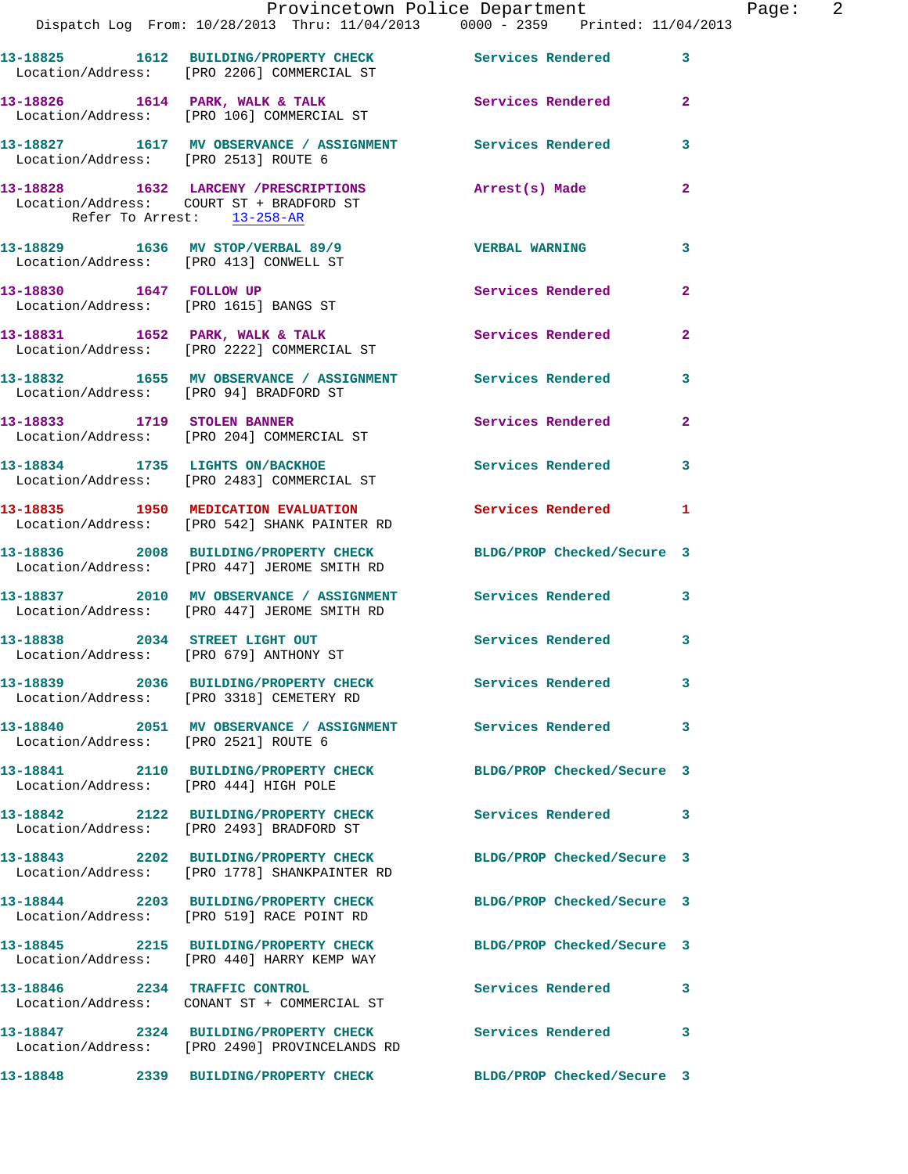|                                        | Provincetown Police Department                                                                                   |                            |                |
|----------------------------------------|------------------------------------------------------------------------------------------------------------------|----------------------------|----------------|
|                                        | Dispatch Log From: 10/28/2013 Thru: 11/04/2013 0000 - 2359 Printed: 11/04/2013                                   |                            |                |
|                                        | 13-18825   1612   BUILDING/PROPERTY CHECK   Services Rendered<br>Location/Address: [PRO 2206] COMMERCIAL ST      |                            | 3              |
|                                        | 13-18826 1614 PARK, WALK & TALK 1988 Services Rendered<br>Location/Address: [PRO 106] COMMERCIAL ST              |                            | $\overline{a}$ |
| Location/Address: [PRO 2513] ROUTE 6   | 13-18827 1617 MV OBSERVANCE / ASSIGNMENT Services Rendered                                                       |                            | 3              |
| Refer To Arrest: 13-258-AR             | 13-18828 1632 LARCENY / PRESCRIPTIONS<br>Location/Address: COURT ST + BRADFORD ST                                | Arrest(s) Made             | $\overline{a}$ |
| Location/Address: [PRO 413] CONWELL ST | 13-18829 1636 MV STOP/VERBAL 89/9                                                                                | <b>VERBAL WARNING</b>      | 3              |
| 13-18830 1647 FOLLOW UP                | Location/Address: [PRO 1615] BANGS ST                                                                            | Services Rendered          | $\overline{a}$ |
|                                        | 13-18831 1652 PARK, WALK & TALK<br>Location/Address: [PRO 2222] COMMERCIAL ST                                    | Services Rendered          | $\overline{a}$ |
| Location/Address: [PRO 94] BRADFORD ST | 13-18832 1655 MV OBSERVANCE / ASSIGNMENT Services Rendered                                                       |                            | 3              |
|                                        | 13-18833 1719 STOLEN BANNER<br>Location/Address: [PRO 204] COMMERCIAL ST                                         | Services Rendered          | $\overline{2}$ |
|                                        | 13-18834 1735 LIGHTS ON/BACKHOE<br>Location/Address: [PRO 2483] COMMERCIAL ST                                    | <b>Services Rendered</b>   | 3              |
|                                        | 13-18835 1950 MEDICATION EVALUATION<br>Location/Address: [PRO 542] SHANK PAINTER RD                              | Services Rendered          | 1              |
|                                        | 13-18836 2008 BUILDING/PROPERTY CHECK<br>Location/Address: [PRO 447] JEROME SMITH RD                             | BLDG/PROP Checked/Secure 3 |                |
|                                        | 13-18837 2010 MV OBSERVANCE / ASSIGNMENT Services Rendered<br>Location/Address: [PRO 447] JEROME SMITH RD        |                            | 3              |
| Location/Address: [PRO 679] ANTHONY ST | 13-18838 2034 STREET LIGHT OUT                                                                                   | Services Rendered          | 3              |
|                                        | 13-18839 2036 BUILDING/PROPERTY CHECK Services Rendered<br>Location/Address: [PRO 3318] CEMETERY RD              |                            | 3              |
| Location/Address: [PRO 2521] ROUTE 6   | 13-18840 2051 MV OBSERVANCE / ASSIGNMENT Services Rendered                                                       |                            | 3              |
| Location/Address: [PRO 444] HIGH POLE  | 13-18841 2110 BUILDING/PROPERTY CHECK BLDG/PROP Checked/Secure 3                                                 |                            |                |
|                                        | 13-18842 2122 BUILDING/PROPERTY CHECK<br>Location/Address: [PRO 2493] BRADFORD ST                                | <b>Services Rendered</b>   | 3              |
|                                        | 13-18843 2202 BUILDING/PROPERTY CHECK BLDG/PROP Checked/Secure 3<br>Location/Address: [PRO 1778] SHANKPAINTER RD |                            |                |
|                                        | 13-18844 2203 BUILDING/PROPERTY CHECK<br>Location/Address: [PRO 519] RACE POINT RD                               | BLDG/PROP Checked/Secure 3 |                |
|                                        | 13-18845 2215 BUILDING/PROPERTY CHECK<br>Location/Address: [PRO 440] HARRY KEMP WAY                              | BLDG/PROP Checked/Secure 3 |                |
|                                        | 13-18846 2234 TRAFFIC CONTROL<br>Location/Address: CONANT ST + COMMERCIAL ST                                     | Services Rendered          | 3              |
|                                        | 13-18847 2324 BUILDING/PROPERTY CHECK<br>Location/Address: [PRO 2490] PROVINCELANDS RD                           | <b>Services Rendered</b>   | 3              |
|                                        | 13-18848 2339 BUILDING/PROPERTY CHECK BLDG/PROP Checked/Secure 3                                                 |                            |                |

Page: 2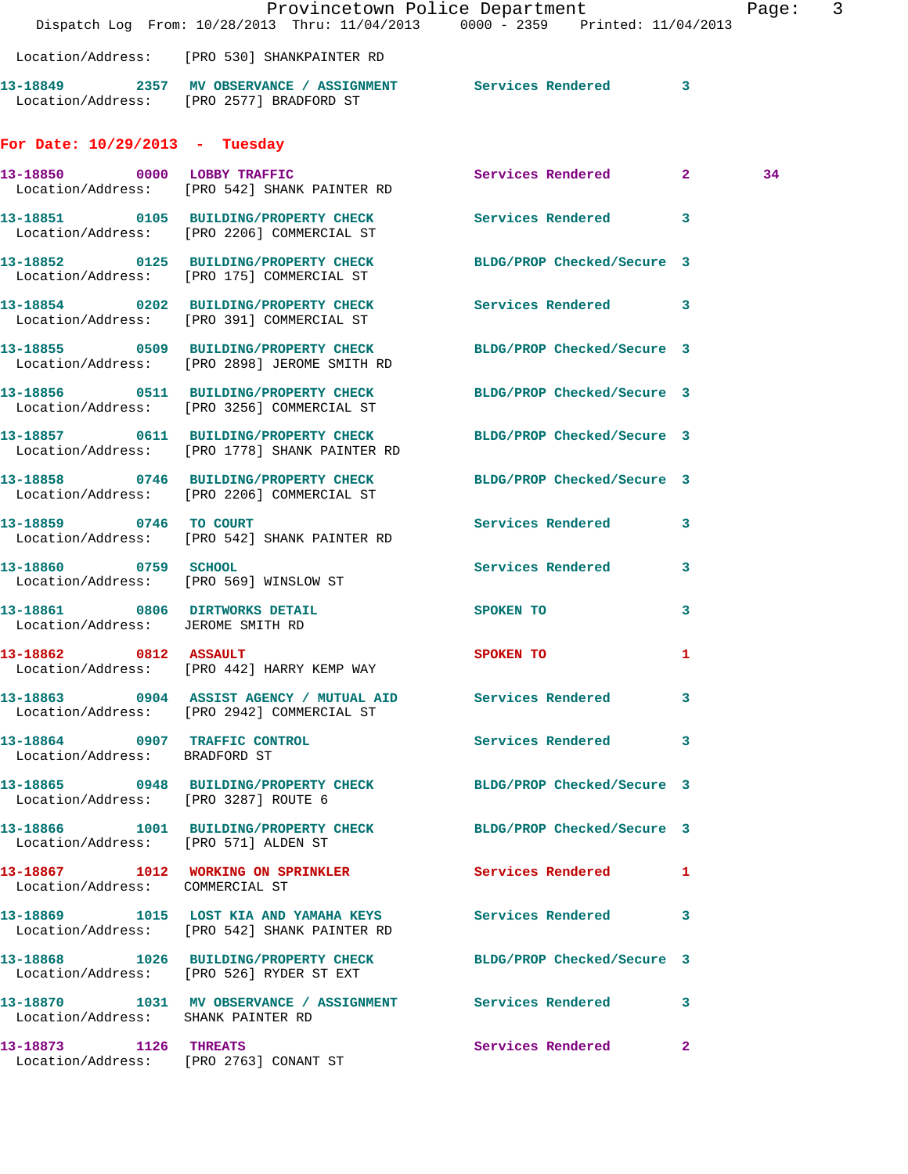|                                                                     | Dispatch Log From: 10/28/2013 Thru: 11/04/2013 0000 - 2359 Printed: 11/04/2013                                    | Provincetown Police Department |              | Page: 3 |  |
|---------------------------------------------------------------------|-------------------------------------------------------------------------------------------------------------------|--------------------------------|--------------|---------|--|
|                                                                     | Location/Address: [PRO 530] SHANKPAINTER RD                                                                       |                                |              |         |  |
|                                                                     | 13-18849 2357 MV OBSERVANCE / ASSIGNMENT Services Rendered 3<br>Location/Address: [PRO 2577] BRADFORD ST          |                                |              |         |  |
| For Date: $10/29/2013$ - Tuesday                                    |                                                                                                                   |                                |              |         |  |
|                                                                     | 13-18850 0000 LOBBY TRAFFIC<br>Location/Address: [PRO 542] SHANK PAINTER RD                                       | Services Rendered 2            |              | 34      |  |
|                                                                     | 13-18851 0105 BUILDING/PROPERTY CHECK Services Rendered 3<br>Location/Address: [PRO 2206] COMMERCIAL ST           |                                |              |         |  |
|                                                                     | 13-18852 0125 BUILDING/PROPERTY CHECK BLDG/PROP Checked/Secure 3<br>Location/Address: [PRO 175] COMMERCIAL ST     |                                |              |         |  |
|                                                                     | 13-18854 0202 BUILDING/PROPERTY CHECK Services Rendered 3<br>Location/Address: [PRO 391] COMMERCIAL ST            |                                |              |         |  |
|                                                                     | 13-18855 0509 BUILDING/PROPERTY CHECK BLDG/PROP Checked/Secure 3<br>Location/Address: [PRO 2898] JEROME SMITH RD  |                                |              |         |  |
|                                                                     | 13-18856 0511 BUILDING/PROPERTY CHECK<br>Location/Address: [PRO 3256] COMMERCIAL ST                               | BLDG/PROP Checked/Secure 3     |              |         |  |
|                                                                     | 13-18857 0611 BUILDING/PROPERTY CHECK BLDG/PROP Checked/Secure 3<br>Location/Address: [PRO 1778] SHANK PAINTER RD |                                |              |         |  |
|                                                                     | 13-18858 0746 BUILDING/PROPERTY CHECK<br>Location/Address: [PRO 2206] COMMERCIAL ST                               | BLDG/PROP Checked/Secure 3     |              |         |  |
| 13-18859 0746 TO COURT                                              | Location/Address: [PRO 542] SHANK PAINTER RD                                                                      | Services Rendered 3            |              |         |  |
|                                                                     | 13-18860 0759 SCHOOL<br>Location/Address: [PRO 569] WINSLOW ST                                                    | Services Rendered              | $\mathbf{3}$ |         |  |
| 13-18861 0806 DIRTWORKS DETAIL<br>Location/Address: JEROME SMITH RD |                                                                                                                   | SPOKEN TO                      | 3            |         |  |
| 13-18862 0812 ASSAULT                                               | Location/Address: [PRO 442] HARRY KEMP WAY                                                                        | <b>SPOKEN TO</b>               | 1            |         |  |
|                                                                     | 13-18863 0904 ASSIST AGENCY / MUTUAL AID Services Rendered 3<br>Location/Address: [PRO 2942] COMMERCIAL ST        |                                |              |         |  |
| Location/Address: BRADFORD ST                                       | 13-18864 0907 TRAFFIC CONTROL                                                                                     | Services Rendered 3            |              |         |  |
| Location/Address: [PRO 3287] ROUTE 6                                | 13-18865 0948 BUILDING/PROPERTY CHECK BLDG/PROP Checked/Secure 3                                                  |                                |              |         |  |
| Location/Address: [PRO 571] ALDEN ST                                | 13-18866 1001 BUILDING/PROPERTY CHECK BLDG/PROP Checked/Secure 3                                                  |                                |              |         |  |
| Location/Address: COMMERCIAL ST                                     | 13-18867 1012 WORKING ON SPRINKLER Services Rendered 1                                                            |                                |              |         |  |
|                                                                     | 13-18869 1015 LOST KIA AND YAMAHA KEYS Services Rendered 3<br>Location/Address: [PRO 542] SHANK PAINTER RD        |                                |              |         |  |
|                                                                     | 13-18868 1026 BUILDING/PROPERTY CHECK BLDG/PROP Checked/Secure 3<br>Location/Address: [PRO 526] RYDER ST EXT      |                                |              |         |  |
| Location/Address: SHANK PAINTER RD                                  | 13-18870 1031 MV OBSERVANCE / ASSIGNMENT Services Rendered 3                                                      |                                |              |         |  |
| 13-18873 1126 THREATS                                               | Location/Address: [PRO 2763] CONANT ST                                                                            | Services Rendered 2            |              |         |  |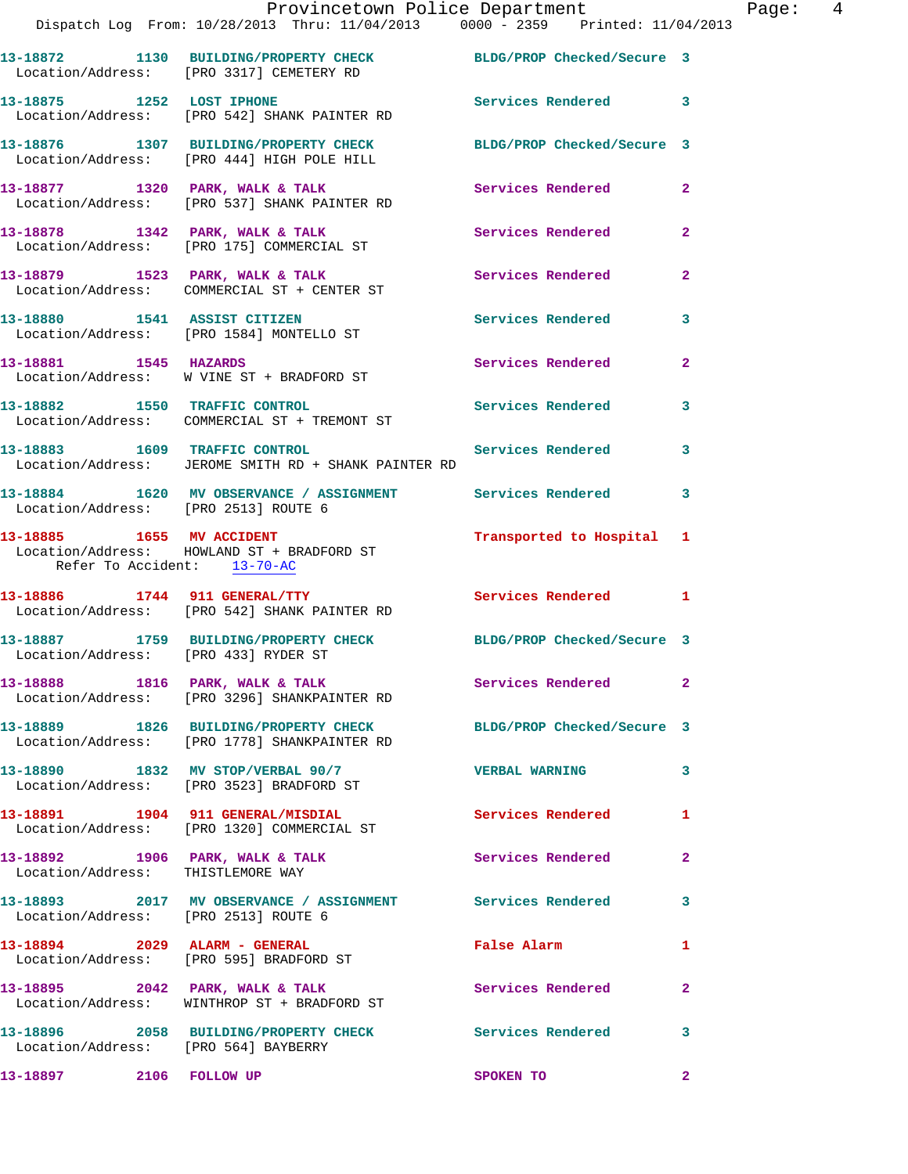|                             | 13-18872 1130 BUILDING/PROPERTY CHECK<br>Location/Address: [PRO 3317] CEMETERY RD                    | BLDG/PROP CRECKEQ/SECUTE 3 |                         |
|-----------------------------|------------------------------------------------------------------------------------------------------|----------------------------|-------------------------|
| 13-18875 1252 LOST IPHONE   | Location/Address: [PRO 542] SHANK PAINTER RD                                                         | Services Rendered 3        |                         |
|                             | 13-18876 1307 BUILDING/PROPERTY CHECK<br>Location/Address: [PRO 444] HIGH POLE HILL                  | BLDG/PROP Checked/Secure 3 |                         |
|                             | 13-18877 1320 PARK, WALK & TALK<br>Location/Address: [PRO 537] SHANK PAINTER RD                      | <b>Services Rendered</b>   | $\mathbf{2}$            |
|                             | 13-18878 1342 PARK, WALK & TALK<br>Location/Address: [PRO 175] COMMERCIAL ST                         | Services Rendered          | $\mathbf{2}$            |
|                             | 13-18879 1523 PARK, WALK & TALK<br>Location/Address: COMMERCIAL ST + CENTER ST                       | <b>Services Rendered</b>   | $\mathbf{2}$            |
|                             | 13-18880 1541 ASSIST CITIZEN<br>Location/Address: [PRO 1584] MONTELLO ST                             | <b>Services Rendered</b>   | 3                       |
|                             | 13-18881 1545 HAZARDS<br>Location/Address: W VINE ST + BRADFORD ST                                   | Services Rendered          | $\overline{2}$          |
|                             | 13-18882 1550 TRAFFIC CONTROL<br>Location/Address: COMMERCIAL ST + TREMONT ST                        | <b>Services Rendered</b>   | 3                       |
|                             | 13-18883 1609 TRAFFIC CONTROL<br>Location/Address: JEROME SMITH RD + SHANK PAINTER RD                | <b>Services Rendered</b>   | 3                       |
|                             | 13-18884 1620 MV OBSERVANCE / ASSIGNMENT Services Rendered 3<br>Location/Address: [PRO 2513] ROUTE 6 |                            |                         |
| Refer To Accident: 13-70-AC | 13-18885 1655 MV ACCIDENT<br>Location/Address: HOWLAND ST + BRADFORD ST                              | Transported to Hospital 1  |                         |
|                             | 13-18886 1744 911 GENERAL/TTY<br>Location/Address: [PRO 542] SHANK PAINTER RD                        | Services Rendered 1        |                         |
|                             | 13-18887 1759 BUILDING/PROPERTY CHECK<br>Location/Address: [PRO 433] RYDER ST                        | BLDG/PROP Checked/Secure 3 |                         |
|                             | 13-18888 1816 PARK, WALK & TALK<br>Location/Address: [PRO 3296] SHANKPAINTER RD                      | Services Rendered 2        |                         |
|                             | 13-18889 1826 BUILDING/PROPERTY CHECK<br>Location/Address: [PRO 1778] SHANKPAINTER RD                | BLDG/PROP Checked/Secure 3 |                         |
|                             | 13-18890 1832 MV STOP/VERBAL 90/7<br>Location/Address: [PRO 3523] BRADFORD ST                        | <b>VERBAL WARNING</b>      | 3                       |
|                             | 13-18891 1904 911 GENERAL/MISDIAL<br>Location/Address: [PRO 1320] COMMERCIAL ST                      | <b>Services Rendered</b>   | 1                       |
|                             | 13-18892 1906 PARK, WALK & TALK<br>Location/Address: THISTLEMORE WAY                                 | Services Rendered          | $\mathbf{2}$            |
|                             | 13-18893 2017 MV OBSERVANCE / ASSIGNMENT Services Rendered<br>Location/Address: [PRO 2513] ROUTE 6   |                            | 3                       |
|                             | 13-18894 2029 ALARM - GENERAL<br>Location/Address: [PRO 595] BRADFORD ST                             | False Alarm                | 1                       |
|                             |                                                                                                      |                            | $\overline{2}$          |
|                             | 13-18895 2042 PARK, WALK & TALK<br>Location/Address: WINTHROP ST + BRADFORD ST                       | <b>Services Rendered</b>   |                         |
|                             | 13-18896 2058 BUILDING/PROPERTY CHECK Services Rendered<br>Location/Address: [PRO 564] BAYBERRY      |                            | $\overline{\mathbf{3}}$ |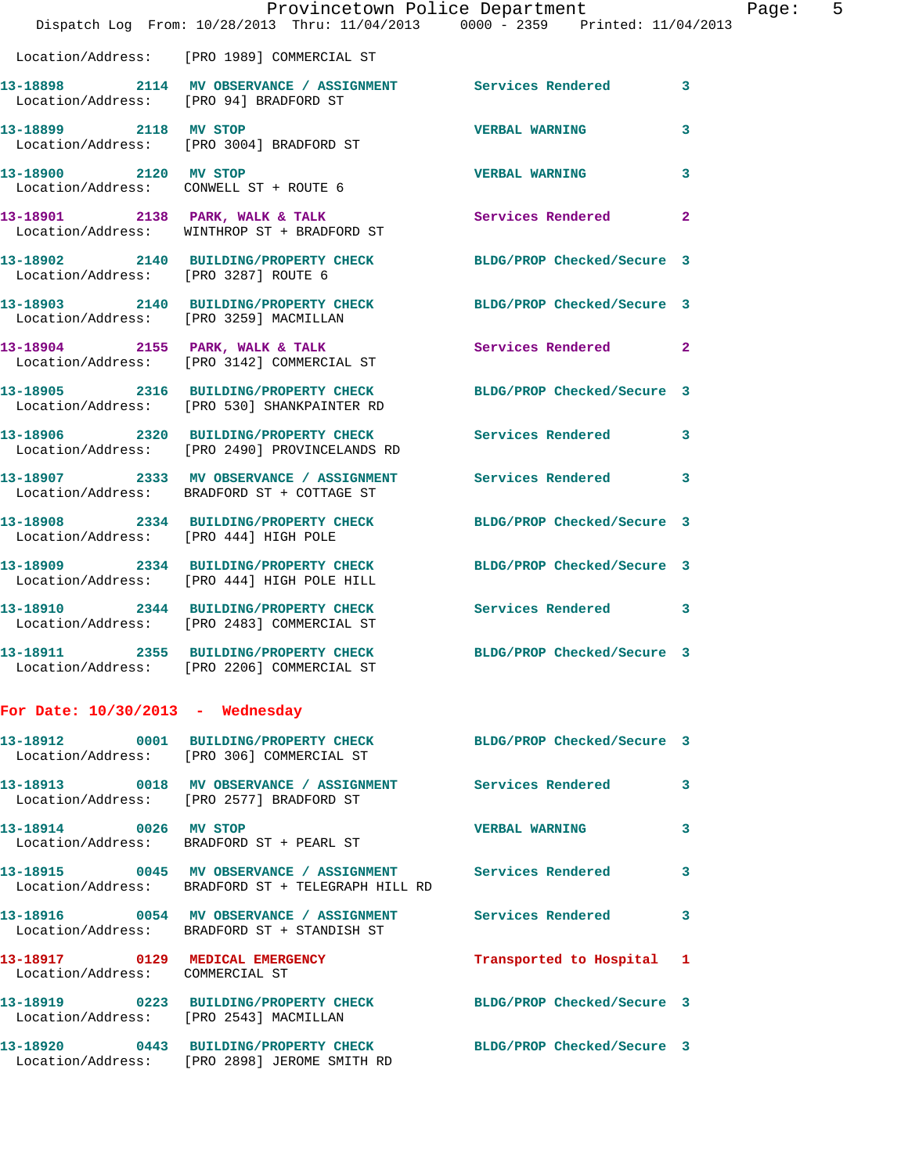|                                       | Provincetown Police Department<br>Dispatch Log From: 10/28/2013 Thru: 11/04/2013 0000 - 2359 Printed: 11/04/2013 |                            |   | Page: 5 |  |
|---------------------------------------|------------------------------------------------------------------------------------------------------------------|----------------------------|---|---------|--|
|                                       | Location/Address: [PRO 1989] COMMERCIAL ST                                                                       |                            |   |         |  |
|                                       | 13-18898 2114 MV OBSERVANCE / ASSIGNMENT Services Rendered 3<br>Location/Address: [PRO 94] BRADFORD ST           |                            |   |         |  |
| 13-18899 2118 MV STOP                 | Location/Address: [PRO 3004] BRADFORD ST                                                                         | <b>VERBAL WARNING</b>      | 3 |         |  |
| 13-18900 2120 MV STOP                 | Location/Address: CONWELL ST + ROUTE 6                                                                           | <b>VERBAL WARNING</b>      | 3 |         |  |
|                                       | 13-18901 2138 PARK, WALK & TALK<br>Location/Address: WINTHROP ST + BRADFORD ST                                   | Services Rendered 2        |   |         |  |
| Location/Address: [PRO 3287] ROUTE 6  | 13-18902 2140 BUILDING/PROPERTY CHECK BLDG/PROP Checked/Secure 3                                                 |                            |   |         |  |
|                                       | 13-18903 2140 BUILDING/PROPERTY CHECK BLDG/PROP Checked/Secure 3<br>Location/Address: [PRO 3259] MACMILLAN       |                            |   |         |  |
|                                       | 13-18904 2155 PARK, WALK & TALK<br>Location/Address: [PRO 3142] COMMERCIAL ST                                    | Services Rendered 2        |   |         |  |
|                                       | 13-18905 2316 BUILDING/PROPERTY CHECK<br>Location/Address: [PRO 530] SHANKPAINTER RD                             | BLDG/PROP Checked/Secure 3 |   |         |  |
|                                       | 13-18906 2320 BUILDING/PROPERTY CHECK<br>Location/Address: [PRO 2490] PROVINCELANDS RD                           | Services Rendered 3        |   |         |  |
|                                       | 13-18907 2333 MV OBSERVANCE / ASSIGNMENT Services Rendered 3<br>Location/Address: BRADFORD ST + COTTAGE ST       |                            |   |         |  |
| Location/Address: [PRO 444] HIGH POLE | 13-18908 2334 BUILDING/PROPERTY CHECK BLDG/PROP Checked/Secure 3                                                 |                            |   |         |  |
|                                       | 13-18909 2334 BUILDING/PROPERTY CHECK BLDG/PROP Checked/Secure 3<br>Location/Address: [PRO 444] HIGH POLE HILL   |                            |   |         |  |
|                                       | 13-18910 2344 BUILDING/PROPERTY CHECK Services Rendered 3<br>Location/Address: [PRO 2483] COMMERCIAL ST          |                            |   |         |  |
|                                       | 13-18911 2355 BUILDING/PROPERTY CHECK BLDG/PROP Checked/Secure 3<br>Location/Address: [PRO 2206] COMMERCIAL ST   |                            |   |         |  |
| For Date: $10/30/2013$ - Wednesday    |                                                                                                                  |                            |   |         |  |
|                                       | 13-18912 0001 BUILDING/PROPERTY CHECK BLDG/PROP Checked/Secure 3                                                 |                            |   |         |  |

|                                                                    | Location/Address: [PRO 306] COMMERCIAL ST                                                                                               | BUDG/PROF CHECKED/SECUIE 3 |              |
|--------------------------------------------------------------------|-----------------------------------------------------------------------------------------------------------------------------------------|----------------------------|--------------|
|                                                                    | 13-18913                0018     MV OBSERVANCE / ASSIGNMENT               Services Rendered<br>Location/Address: [PRO 2577] BRADFORD ST |                            | $\mathbf{3}$ |
| 13-18914 0026 MV STOP                                              | Location/Address: BRADFORD ST + PEARL ST                                                                                                | <b>VERBAL WARNING</b>      | $\mathbf{3}$ |
|                                                                    | Location/Address: BRADFORD ST + TELEGRAPH HILL RD                                                                                       | <b>Services Rendered</b>   | 3            |
|                                                                    | Location/Address: BRADFORD ST + STANDISH ST                                                                                             | <b>Services Rendered</b>   | $\mathbf{3}$ |
| 13-18917 0129 MEDICAL EMERGENCY<br>Location/Address: COMMERCIAL ST |                                                                                                                                         | Transported to Hospital 1  |              |
| Location/Address: [PRO 2543] MACMILLAN                             |                                                                                                                                         | BLDG/PROP Checked/Secure 3 |              |
| Location/Address:                                                  | [PRO 2898] JEROME SMITH RD                                                                                                              | BLDG/PROP Checked/Secure 3 |              |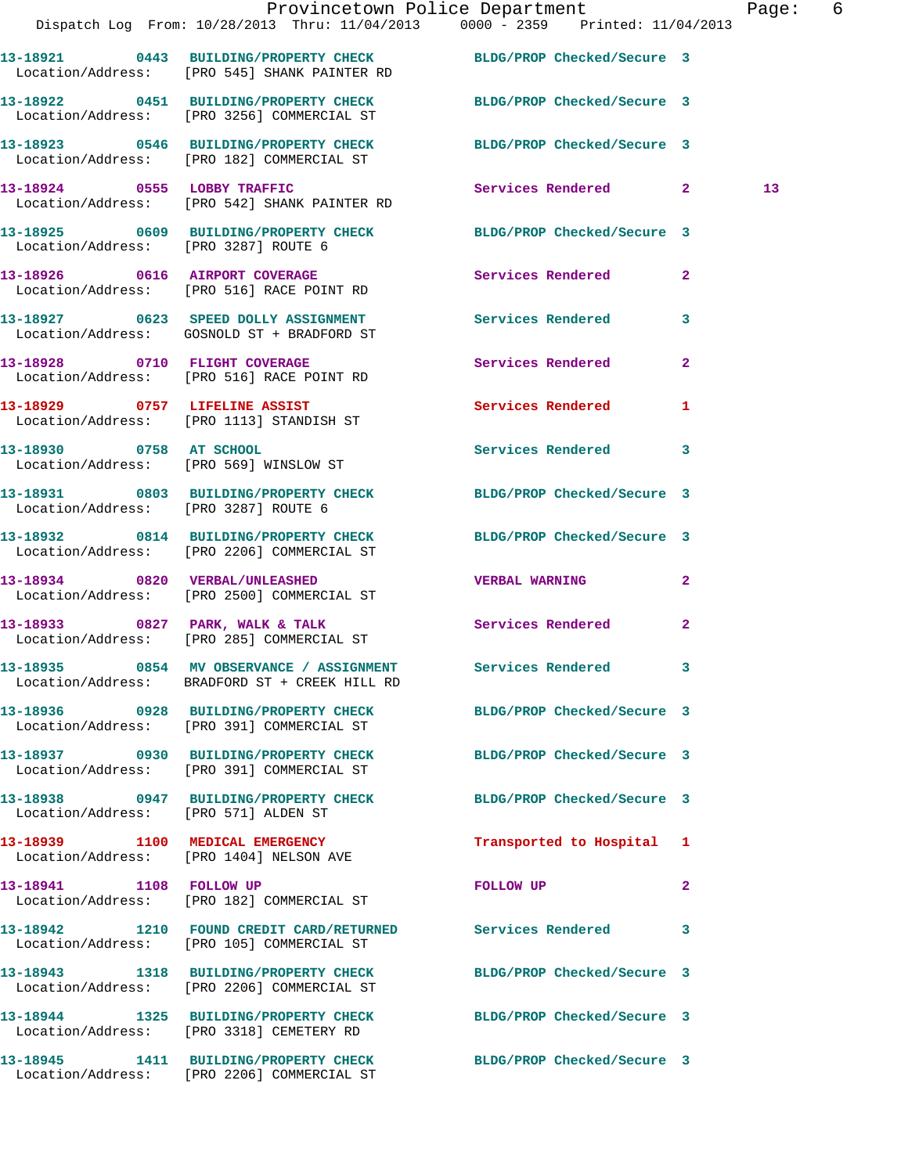|                                      |                                                                                                                  | Provincetown Police Department Page: 6 |                 |
|--------------------------------------|------------------------------------------------------------------------------------------------------------------|----------------------------------------|-----------------|
|                                      | Dispatch Log From: 10/28/2013 Thru: 11/04/2013 0000 - 2359 Printed: 11/04/2013                                   |                                        |                 |
|                                      | 13-18921 0443 BUILDING/PROPERTY CHECK BLDG/PROP Checked/Secure 3<br>Location/Address: [PRO 545] SHANK PAINTER RD |                                        |                 |
|                                      | 13-18922 0451 BUILDING/PROPERTY CHECK BLDG/PROP Checked/Secure 3<br>Location/Address: [PRO 3256] COMMERCIAL ST   |                                        |                 |
|                                      | 13-18923 0546 BUILDING/PROPERTY CHECK BLDG/PROP Checked/Secure 3<br>Location/Address: [PRO 182] COMMERCIAL ST    |                                        |                 |
|                                      | 13-18924 0555 LOBBY TRAFFIC<br>Location/Address: [PRO 542] SHANK PAINTER RD                                      | Services Rendered 2                    | 13 <sup>°</sup> |
|                                      | 13-18925 0609 BUILDING/PROPERTY CHECK BLDG/PROP Checked/Secure 3<br>Location/Address: [PRO 3287] ROUTE 6         |                                        |                 |
|                                      | 13-18926 0616 AIRPORT COVERAGE<br>Location/Address: [PRO 516] RACE POINT RD                                      | Services Rendered<br>$\mathbf{2}$      |                 |
|                                      | 13-18927 0623 SPEED DOLLY ASSIGNMENT Services Rendered<br>Location/Address: GOSNOLD ST + BRADFORD ST             | $\mathbf{3}$                           |                 |
|                                      | 13-18928 0710 FLIGHT COVERAGE<br>Location/Address: [PRO 516] RACE POINT RD                                       | Services Rendered<br>$\mathbf{2}$      |                 |
|                                      | 13-18929 0757 LIFELINE ASSIST<br>Location/Address: [PRO 1113] STANDISH ST                                        | Services Rendered 1                    |                 |
|                                      | 13-18930 0758 AT SCHOOL<br>Location/Address: [PRO 569] WINSLOW ST                                                | Services Rendered 3                    |                 |
| Location/Address: [PRO 3287] ROUTE 6 | 13-18931 0803 BUILDING/PROPERTY CHECK BLDG/PROP Checked/Secure 3                                                 |                                        |                 |
|                                      | 13-18932 0814 BUILDING/PROPERTY CHECK BLDG/PROP Checked/Secure 3<br>Location/Address: [PRO 2206] COMMERCIAL ST   |                                        |                 |
|                                      | 13-18934 0820 VERBAL/UNLEASHED<br>Location/Address: [PRO 2500] COMMERCIAL ST                                     | <b>VERBAL WARNING</b><br>$\mathbf{2}$  |                 |
|                                      |                                                                                                                  | Services Rendered<br>$\mathbf{2}$      |                 |
|                                      | 13-18935 0854 MV OBSERVANCE / ASSIGNMENT Services Rendered 3<br>Location/Address: BRADFORD ST + CREEK HILL RD    |                                        |                 |
|                                      | 13-18936 0928 BUILDING/PROPERTY CHECK BLDG/PROP Checked/Secure 3<br>Location/Address: [PRO 391] COMMERCIAL ST    |                                        |                 |
|                                      | 13-18937 0930 BUILDING/PROPERTY CHECK<br>Location/Address: [PRO 391] COMMERCIAL ST                               | BLDG/PROP Checked/Secure 3             |                 |
| Location/Address: [PRO 571] ALDEN ST | 13-18938 0947 BUILDING/PROPERTY CHECK BLDG/PROP Checked/Secure 3                                                 |                                        |                 |
|                                      | 13-18939 1100 MEDICAL EMERGENCY<br>Location/Address: [PRO 1404] NELSON AVE                                       | Transported to Hospital 1              |                 |
|                                      | 13-18941 1108 FOLLOW UP<br>Location/Address: [PRO 182] COMMERCIAL ST                                             | FOLLOW UP<br>$\mathbf{2}$              |                 |
|                                      | 13-18942 1210 FOUND CREDIT CARD/RETURNED Services Rendered 3<br>Location/Address: [PRO 105] COMMERCIAL ST        |                                        |                 |
|                                      | 13-18943 1318 BUILDING/PROPERTY CHECK<br>Location/Address: [PRO 2206] COMMERCIAL ST                              | BLDG/PROP Checked/Secure 3             |                 |
|                                      | 13-18944 1325 BUILDING/PROPERTY CHECK BLDG/PROP Checked/Secure 3<br>Location/Address: [PRO 3318] CEMETERY RD     |                                        |                 |
|                                      | 13-18945 1411 BUILDING/PROPERTY CHECK BLDG/PROP Checked/Secure 3                                                 |                                        |                 |

Location/Address: [PRO 2206] COMMERCIAL ST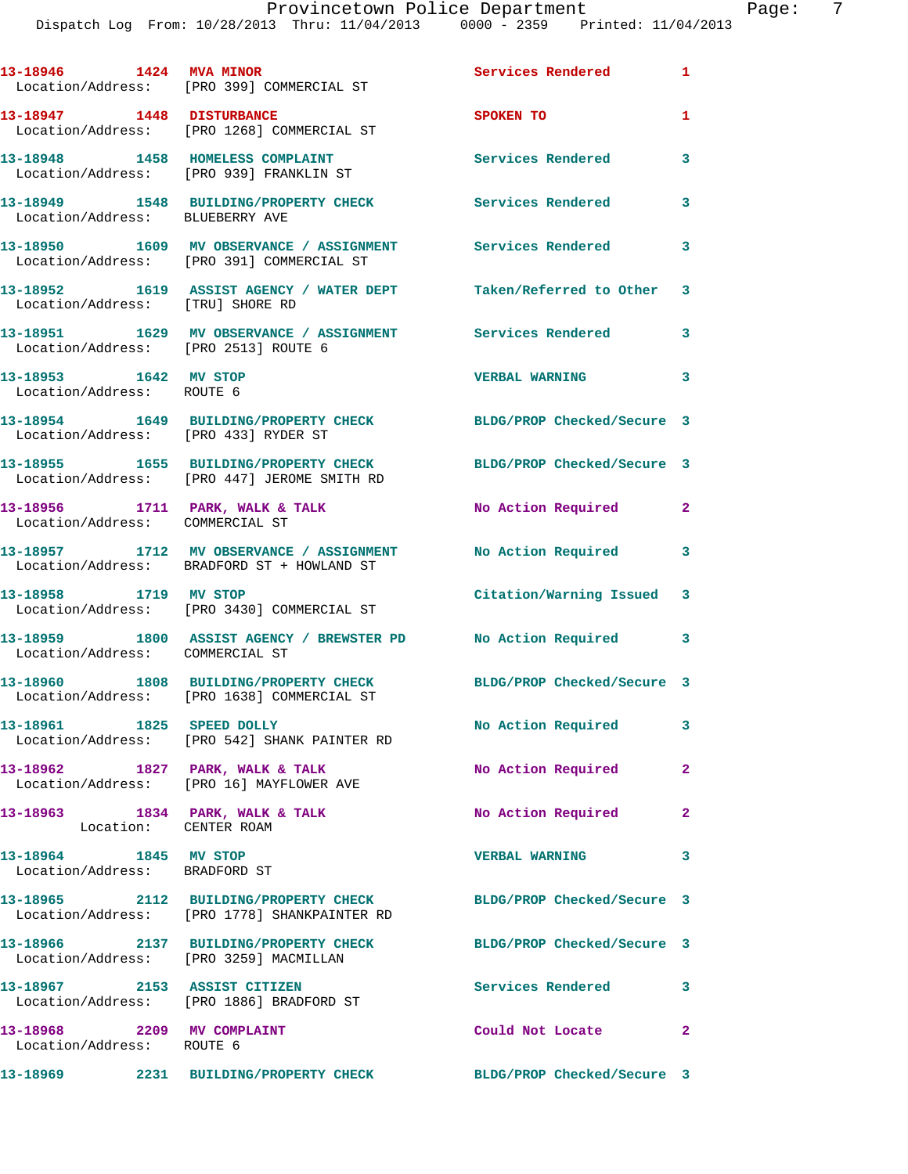|                                                         | 13-18946 1424 MVA MINOR<br>Location/Address: [PRO 399] COMMERCIAL ST                   | <b>Services Rendered</b>   | $\mathbf{1}$   |
|---------------------------------------------------------|----------------------------------------------------------------------------------------|----------------------------|----------------|
| 13-18947 1448 DISTURBANCE                               | Location/Address: [PRO 1268] COMMERCIAL ST                                             | SPOKEN TO                  | $\mathbf{1}$   |
|                                                         | 13-18948 1458 HOMELESS COMPLAINT<br>Location/Address: [PRO 939] FRANKLIN ST            | <b>Services Rendered</b>   | 3              |
| Location/Address: BLUEBERRY AVE                         | 13-18949 1548 BUILDING/PROPERTY CHECK                                                  | Services Rendered          | 3              |
|                                                         | 13-18950 1609 MV OBSERVANCE / ASSIGNMENT<br>Location/Address: [PRO 391] COMMERCIAL ST  | Services Rendered          | 3              |
| Location/Address: [TRU] SHORE RD                        | 13-18952 1619 ASSIST AGENCY / WATER DEPT                                               | Taken/Referred to Other 3  |                |
| Location/Address: [PRO 2513] ROUTE 6                    | 13-18951 1629 MV OBSERVANCE / ASSIGNMENT Services Rendered                             |                            | 3              |
| 13-18953 1642 MV STOP<br>Location/Address: ROUTE 6      |                                                                                        | <b>VERBAL WARNING</b>      | 3              |
| Location/Address: [PRO 433] RYDER ST                    | 13-18954 1649 BUILDING/PROPERTY CHECK                                                  | BLDG/PROP Checked/Secure 3 |                |
|                                                         | 13-18955 1655 BUILDING/PROPERTY CHECK<br>Location/Address: [PRO 447] JEROME SMITH RD   | BLDG/PROP Checked/Secure 3 |                |
| Location/Address: COMMERCIAL ST                         | 13-18956 1711 PARK, WALK & TALK                                                        | No Action Required 2       |                |
|                                                         | 13-18957 1712 MV OBSERVANCE / ASSIGNMENT<br>Location/Address: BRADFORD ST + HOWLAND ST | No Action Required         | 3              |
| 13-18958 1719 MV STOP                                   | Location/Address: [PRO 3430] COMMERCIAL ST                                             | Citation/Warning Issued 3  |                |
| Location/Address: COMMERCIAL ST                         | 13-18959 1800 ASSIST AGENCY / BREWSTER PD No Action Required                           |                            | 3              |
|                                                         | 13-18960 1808 BUILDING/PROPERTY CHECK<br>Location/Address: [PRO 1638] COMMERCIAL ST    | BLDG/PROP Checked/Secure 3 |                |
| 1825 SPEED DOLLY<br>13-18961                            | Location/Address: [PRO 542] SHANK PAINTER RD                                           | No Action Required         | 3              |
| 13-18962 1827 PARK, WALK & TALK                         | Location/Address: [PRO 16] MAYFLOWER AVE                                               | No Action Required         | $\overline{2}$ |
| Location: CENTER ROAM                                   | 13-18963 1834 PARK, WALK & TALK                                                        | No Action Required         | $\mathbf{2}$   |
| 13-18964 1845 MV STOP<br>Location/Address: BRADFORD ST  |                                                                                        | <b>VERBAL WARNING</b>      | 3              |
|                                                         | 13-18965 2112 BUILDING/PROPERTY CHECK<br>Location/Address: [PRO 1778] SHANKPAINTER RD  | BLDG/PROP Checked/Secure 3 |                |
| Location/Address: [PRO 3259] MACMILLAN                  | 13-18966 2137 BUILDING/PROPERTY CHECK                                                  | BLDG/PROP Checked/Secure 3 |                |
|                                                         | 13-18967 2153 ASSIST CITIZEN<br>Location/Address: [PRO 1886] BRADFORD ST               | Services Rendered          | 3              |
| 13-18968 2209 MV COMPLAINT<br>Location/Address: ROUTE 6 |                                                                                        | Could Not Locate           | $\mathbf{2}$   |
|                                                         |                                                                                        | BLDG/PROP Checked/Secure 3 |                |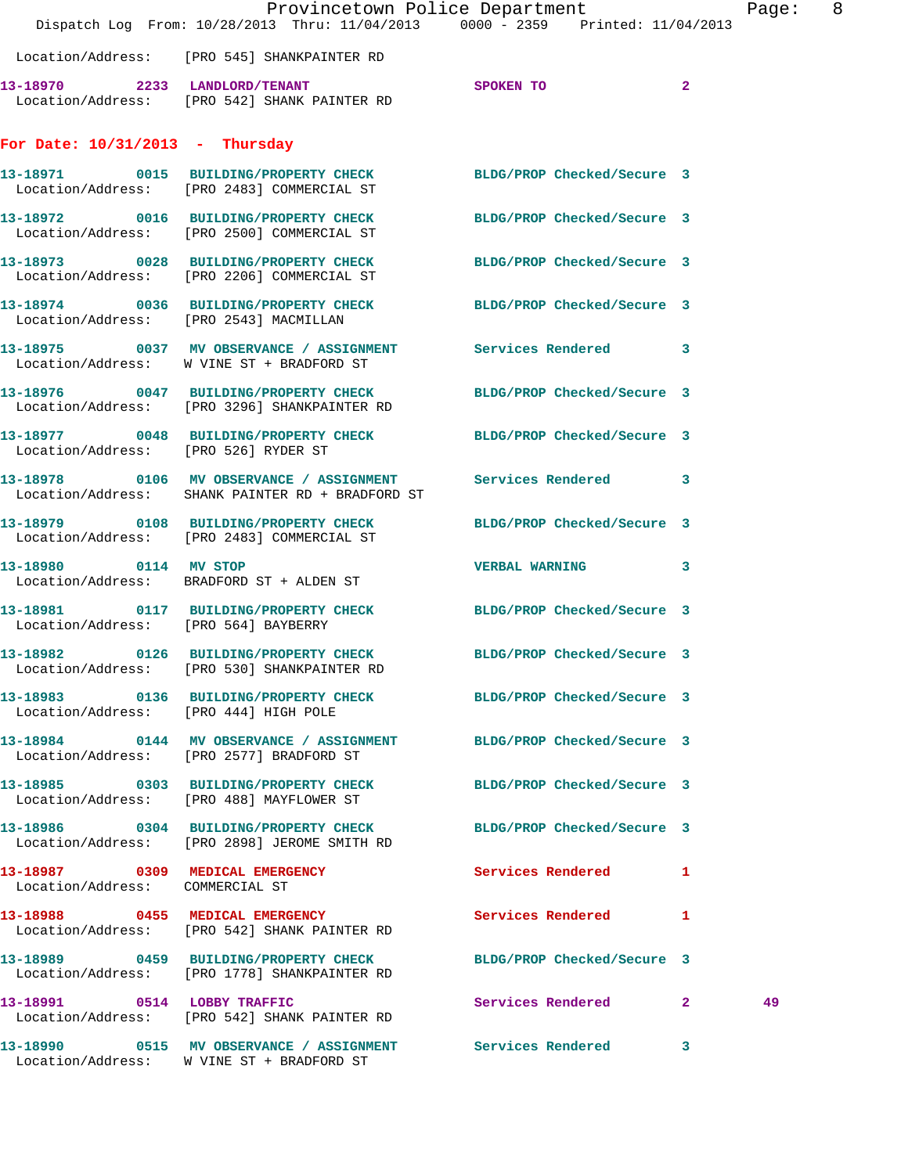|                                       | Dispatch Log From: 10/28/2013 Thru: 11/04/2013 0000 - 2359 Printed: 11/04/2013                                   | Provincetown Police Department |              | Page: 8 |  |
|---------------------------------------|------------------------------------------------------------------------------------------------------------------|--------------------------------|--------------|---------|--|
|                                       | Location/Address: [PRO 545] SHANKPAINTER RD                                                                      |                                |              |         |  |
|                                       | 13-18970 2233 LANDLORD/TENANT<br>Location/Address: [PRO 542] SHANK PAINTER RD                                    | SPOKEN TO                      | $\mathbf{2}$ |         |  |
| For Date: $10/31/2013$ - Thursday     |                                                                                                                  |                                |              |         |  |
|                                       | 13-18971 0015 BUILDING/PROPERTY CHECK BLDG/PROP Checked/Secure 3<br>Location/Address: [PRO 2483] COMMERCIAL ST   |                                |              |         |  |
|                                       | 13-18972 0016 BUILDING/PROPERTY CHECK<br>Location/Address: [PRO 2500] COMMERCIAL ST                              | BLDG/PROP Checked/Secure 3     |              |         |  |
|                                       | 13-18973 0028 BUILDING/PROPERTY CHECK<br>Location/Address: [PRO 2206] COMMERCIAL ST                              | BLDG/PROP Checked/Secure 3     |              |         |  |
|                                       | 13-18974 0036 BUILDING/PROPERTY CHECK BLDG/PROP Checked/Secure 3<br>Location/Address: [PRO 2543] MACMILLAN       |                                |              |         |  |
|                                       | 13-18975 0037 MV OBSERVANCE / ASSIGNMENT Services Rendered 3<br>Location/Address: W VINE ST + BRADFORD ST        |                                |              |         |  |
|                                       | 13-18976 0047 BUILDING/PROPERTY CHECK<br>Location/Address: [PRO 3296] SHANKPAINTER RD                            | BLDG/PROP Checked/Secure 3     |              |         |  |
| Location/Address: [PRO 526] RYDER ST  | 13-18977 0048 BUILDING/PROPERTY CHECK BLDG/PROP Checked/Secure 3                                                 |                                |              |         |  |
|                                       | 13-18978 0106 MV OBSERVANCE / ASSIGNMENT Services Rendered 3<br>Location/Address: SHANK PAINTER RD + BRADFORD ST |                                |              |         |  |
|                                       | 13-18979 0108 BUILDING/PROPERTY CHECK<br>Location/Address: [PRO 2483] COMMERCIAL ST                              | BLDG/PROP Checked/Secure 3     |              |         |  |
|                                       | 13-18980 0114 MV STOP<br>Location/Address: BRADFORD ST + ALDEN ST                                                | <b>VERBAL WARNING</b>          | 3            |         |  |
| Location/Address: [PRO 564] BAYBERRY  | 13-18981 0117 BUILDING/PROPERTY CHECK BLDG/PROP Checked/Secure 3                                                 |                                |              |         |  |
|                                       | 13-18982 0126 BUILDING/PROPERTY CHECK BLDG/PROP Checked/Secure 3<br>Location/Address: [PRO 530] SHANKPAINTER RD  |                                |              |         |  |
| Location/Address: [PRO 444] HIGH POLE | 13-18983 0136 BUILDING/PROPERTY CHECK BLDG/PROP Checked/Secure 3                                                 |                                |              |         |  |
|                                       | 13-18984 0144 MV OBSERVANCE / ASSIGNMENT BLDG/PROP Checked/Secure 3<br>Location/Address: [PRO 2577] BRADFORD ST  |                                |              |         |  |
|                                       | 13-18985 0303 BUILDING/PROPERTY CHECK<br>Location/Address: [PRO 488] MAYFLOWER ST                                | BLDG/PROP Checked/Secure 3     |              |         |  |
|                                       | 13-18986 0304 BUILDING/PROPERTY CHECK<br>Location/Address: [PRO 2898] JEROME SMITH RD                            | BLDG/PROP Checked/Secure 3     |              |         |  |
| Location/Address: COMMERCIAL ST       | 13-18987 0309 MEDICAL EMERGENCY Services Rendered 1                                                              |                                |              |         |  |
|                                       | 13-18988 0455 MEDICAL EMERGENCY<br>Location/Address: [PRO 542] SHANK PAINTER RD                                  | Services Rendered              | 1            |         |  |
|                                       | 13-18989 0459 BUILDING/PROPERTY CHECK BLDG/PROP Checked/Secure 3<br>Location/Address: [PRO 1778] SHANKPAINTER RD |                                |              |         |  |
|                                       | 13-18991 0514 LOBBY TRAFFIC<br>Location/Address: [PRO 542] SHANK PAINTER RD                                      | Services Rendered 2            |              | 49      |  |
|                                       | 13-18990 0515 MV OBSERVANCE / ASSIGNMENT Services Rendered 3                                                     |                                |              |         |  |

Location/Address: W VINE ST + BRADFORD ST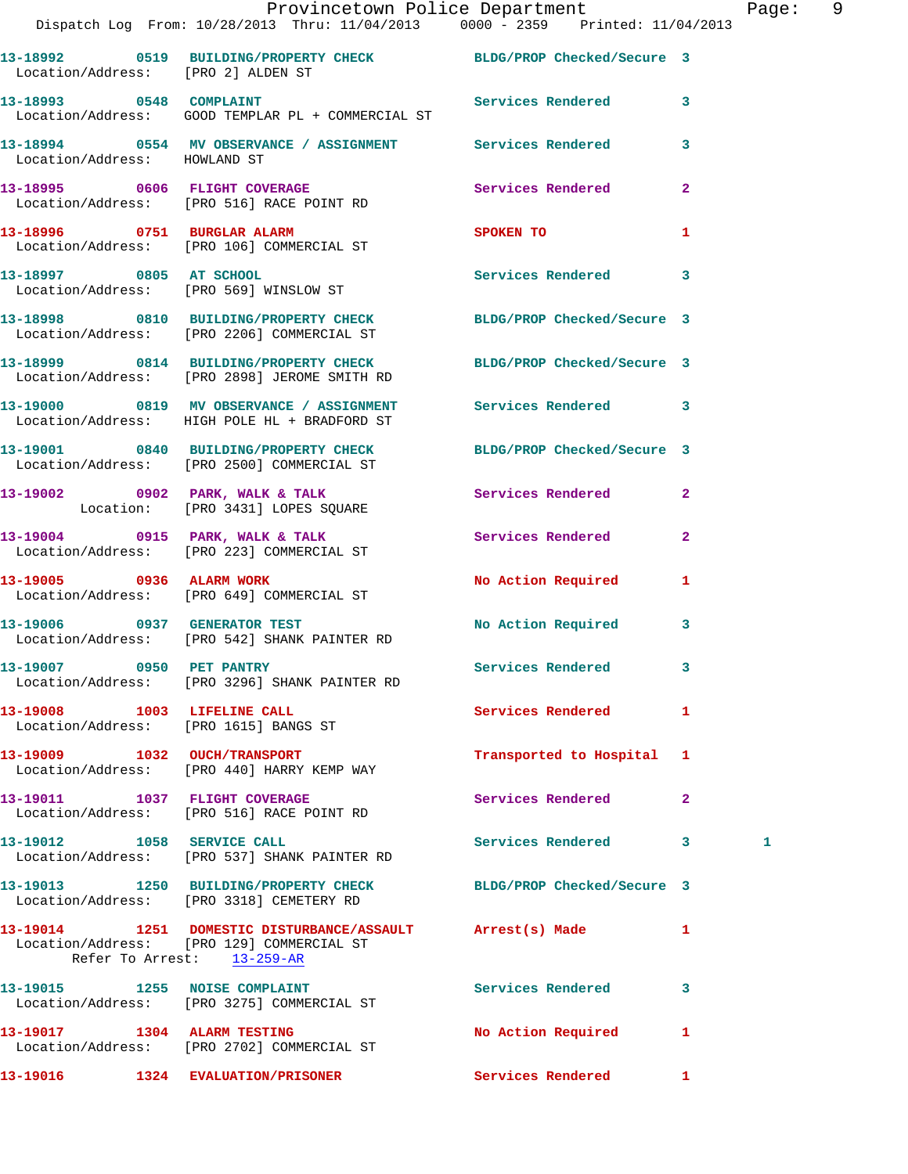|                                    | Provincetown Police Department<br>Dispatch Log From: 10/28/2013 Thru: 11/04/2013 0000 - 2359 Printed: 11/04/2013                     |                            |              | Page: 9 |  |
|------------------------------------|--------------------------------------------------------------------------------------------------------------------------------------|----------------------------|--------------|---------|--|
| Location/Address: [PRO 2] ALDEN ST | 13-18992 0519 BUILDING/PROPERTY CHECK BLDG/PROP Checked/Secure 3                                                                     |                            |              |         |  |
|                                    | 13-18993 0548 COMPLAINT 3 Services Rendered 3<br>Location/Address: GOOD TEMPLAR PL + COMMERCIAL ST                                   |                            |              |         |  |
|                                    |                                                                                                                                      |                            |              |         |  |
|                                    | 13-18995 0606 FLIGHT COVERAGE 2008 Services Rendered<br>Location/Address: [PRO 516] RACE POINT RD                                    |                            | $\mathbf{2}$ |         |  |
|                                    | 13-18996 0751 BURGLAR ALARM<br>Location/Address: [PRO 106] COMMERCIAL ST                                                             | SPOKEN TO                  | 1            |         |  |
|                                    | 13-18997 0805 AT SCHOOL<br>Location/Address: [PRO 569] WINSLOW ST                                                                    | Services Rendered 3        |              |         |  |
|                                    | 13-18998 0810 BUILDING/PROPERTY CHECK BLDG/PROP Checked/Secure 3<br>Location/Address: [PRO 2206] COMMERCIAL ST                       |                            |              |         |  |
|                                    | 13-18999 0814 BUILDING/PROPERTY CHECK BLDG/PROP Checked/Secure 3<br>Location/Address: [PRO 2898] JEROME SMITH RD                     |                            |              |         |  |
|                                    | 13-19000 0819 MV OBSERVANCE / ASSIGNMENT Services Rendered 3<br>Location/Address: HIGH POLE HL + BRADFORD ST                         |                            |              |         |  |
|                                    | 13-19001 0840 BUILDING/PROPERTY CHECK BLDG/PROP Checked/Secure 3<br>Location/Address: [PRO 2500] COMMERCIAL ST                       |                            |              |         |  |
|                                    | 13-19002 0902 PARK, WALK & TALK 3 Services Rendered 2<br>Location: [PRO 3431] LOPES SQUARE                                           |                            |              |         |  |
|                                    | 13-19004 0915 PARK, WALK & TALK Services Rendered<br>Location/Address: [PRO 223] COMMERCIAL ST                                       |                            | $\mathbf{2}$ |         |  |
| 13-19005 0936 ALARM WORK           | Location/Address: [PRO 649] COMMERCIAL ST                                                                                            | No Action Required 1       |              |         |  |
|                                    | 13-19006 0937 GENERATOR TEST<br>Location/Address: [PRO 542] SHANK PAINTER RD                                                         | No Action Required 3       |              |         |  |
| 13-19007 0950 PET PANTRY           | Location/Address: [PRO 3296] SHANK PAINTER RD                                                                                        | <b>Services Rendered</b>   |              |         |  |
| 13-19008 1003 LIFELINE CALL        | Location/Address: [PRO 1615] BANGS ST                                                                                                | Services Rendered 1        |              |         |  |
|                                    | 13-19009 1032 OUCH/TRANSPORT<br>Location/Address: [PRO 440] HARRY KEMP WAY                                                           | Transported to Hospital 1  |              |         |  |
|                                    | 13-19011 1037 FLIGHT COVERAGE<br>Location/Address: [PRO 516] RACE POINT RD                                                           | Services Rendered          | $\mathbf{2}$ |         |  |
| 13-19012 1058 SERVICE CALL         | Location/Address: [PRO 537] SHANK PAINTER RD                                                                                         | Services Rendered 3        |              | 1       |  |
|                                    | 13-19013 1250 BUILDING/PROPERTY CHECK<br>Location/Address: [PRO 3318] CEMETERY RD                                                    | BLDG/PROP Checked/Secure 3 |              |         |  |
|                                    | 13-19014 1251 DOMESTIC DISTURBANCE/ASSAULT Arrest(s) Made<br>Location/Address: [PRO 129] COMMERCIAL ST<br>Refer To Arrest: 13-259-AR |                            | $\mathbf{1}$ |         |  |
|                                    | 13-19015 1255 NOISE COMPLAINT<br>Location/Address: [PRO 3275] COMMERCIAL ST                                                          | <b>Services Rendered</b>   | 3            |         |  |
|                                    | 13-19017 1304 ALARM TESTING<br>Location/Address: [PRO 2702] COMMERCIAL ST                                                            | No Action Required         | 1            |         |  |
|                                    | 13-19016 1324 EVALUATION/PRISONER                                                                                                    | Services Rendered 1        |              |         |  |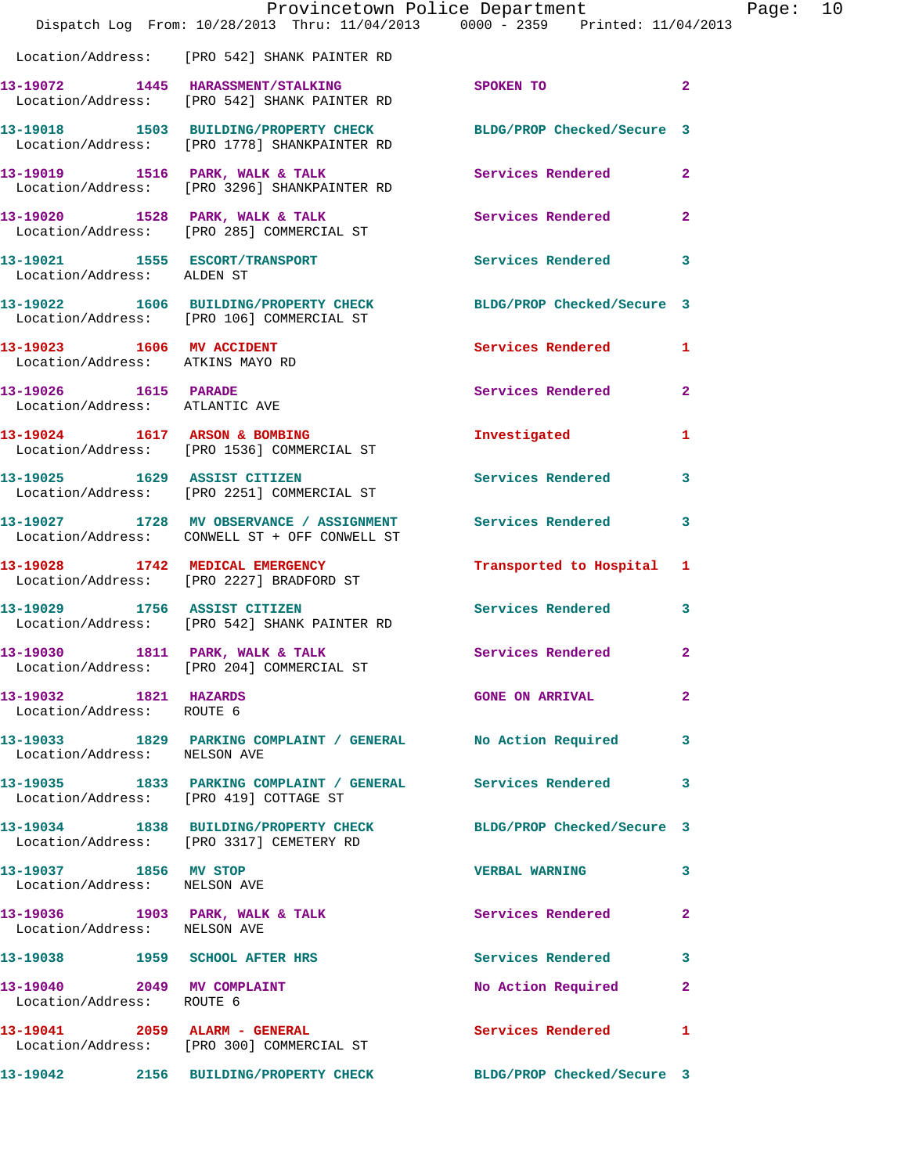|                                                               | Provincetown Police Department<br>Dispatch Log From: 10/28/2013 Thru: 11/04/2013 0000 - 2359 Printed: 11/04/2013 |                            |                |
|---------------------------------------------------------------|------------------------------------------------------------------------------------------------------------------|----------------------------|----------------|
|                                                               | Location/Address: [PRO 542] SHANK PAINTER RD                                                                     |                            |                |
|                                                               | 13-19072 1445 HARASSMENT/STALKING<br>Location/Address: [PRO 542] SHANK PAINTER RD                                | SPOKEN TO                  | $\mathbf{2}$   |
|                                                               | 13-19018 1503 BUILDING/PROPERTY CHECK BLDG/PROP Checked/Secure 3<br>Location/Address: [PRO 1778] SHANKPAINTER RD |                            |                |
|                                                               | 13-19019 1516 PARK, WALK & TALK<br>Location/Address: [PRO 3296] SHANKPAINTER RD                                  | <b>Services Rendered</b>   | $\mathbf{2}$   |
|                                                               | 13-19020 1528 PARK, WALK & TALK<br>Location/Address: [PRO 285] COMMERCIAL ST                                     | Services Rendered          | $\mathbf{2}$   |
| 13-19021 1555 ESCORT/TRANSPORT<br>Location/Address: ALDEN ST  |                                                                                                                  | <b>Services Rendered</b>   | 3              |
|                                                               | 13-19022 1606 BUILDING/PROPERTY CHECK<br>Location/Address: [PRO 106] COMMERCIAL ST                               | BLDG/PROP Checked/Secure 3 |                |
| 13-19023 1606 MV ACCIDENT<br>Location/Address: ATKINS MAYO RD |                                                                                                                  | <b>Services Rendered</b>   | 1              |
| 13-19026 1615 PARADE<br>Location/Address: ATLANTIC AVE        |                                                                                                                  | <b>Services Rendered</b>   | $\mathbf{2}$   |
|                                                               | 13-19024 1617 ARSON & BOMBING<br>Location/Address: [PRO 1536] COMMERCIAL ST                                      | Investigated               | 1              |
| 13-19025 1629 ASSIST CITIZEN                                  | Location/Address: [PRO 2251] COMMERCIAL ST                                                                       | Services Rendered          | 3              |
|                                                               | 13-19027 1728 MV OBSERVANCE / ASSIGNMENT Services Rendered<br>Location/Address: CONWELL ST + OFF CONWELL ST      |                            | 3              |
|                                                               | 13-19028 1742 MEDICAL EMERGENCY<br>Location/Address: [PRO 2227] BRADFORD ST                                      | Transported to Hospital    | 1              |
| 13-19029 1756 ASSIST CITIZEN                                  | Location/Address: [PRO 542] SHANK PAINTER RD                                                                     | <b>Services Rendered</b>   | 3              |
| 13-19030 1811 PARK, WALK & TALK                               | Location/Address: [PRO 204] COMMERCIAL ST                                                                        | <b>Services Rendered</b>   | $\overline{a}$ |
| 13-19032 1821 HAZARDS<br>Location/Address: ROUTE 6            |                                                                                                                  | <b>GONE ON ARRIVAL</b>     | $\mathbf{2}$   |
| Location/Address: NELSON AVE                                  | 13-19033 1829 PARKING COMPLAINT / GENERAL No Action Required                                                     |                            | 3              |
|                                                               | 13-19035 1833 PARKING COMPLAINT / GENERAL Services Rendered<br>Location/Address: [PRO 419] COTTAGE ST            |                            | 3              |
|                                                               | 13-19034 1838 BUILDING/PROPERTY CHECK BLDG/PROP Checked/Secure 3<br>Location/Address: [PRO 3317] CEMETERY RD     |                            |                |
| 13-19037 1856 MV STOP<br>Location/Address: NELSON AVE         |                                                                                                                  | <b>VERBAL WARNING</b>      | 3              |
| Location/Address: NELSON AVE                                  | 13-19036 1903 PARK, WALK & TALK                                                                                  | <b>Services Rendered</b>   | $\mathbf{2}$   |
|                                                               | 13-19038 1959 SCHOOL AFTER HRS                                                                                   | Services Rendered          | 3              |
| 13-19040 2049 MV COMPLAINT<br>Location/Address: ROUTE 6       |                                                                                                                  | No Action Required         | $\mathbf{2}$   |
|                                                               | 13-19041 2059 ALARM - GENERAL<br>Location/Address: [PRO 300] COMMERCIAL ST                                       | <b>Services Rendered</b>   | 1              |
|                                                               | 13-19042 2156 BUILDING/PROPERTY CHECK BLDG/PROP Checked/Secure 3                                                 |                            |                |

Page: 10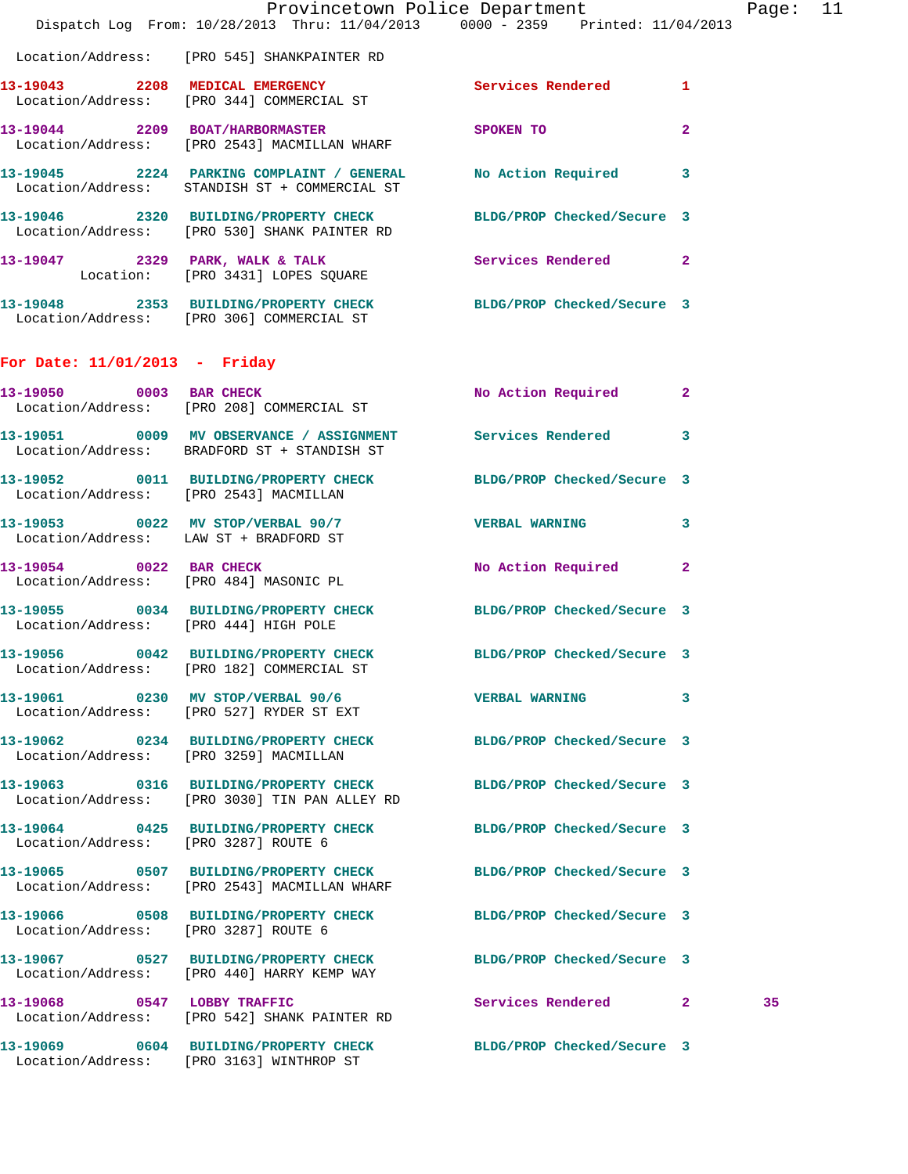|                                       | Dispatch Log From: 10/28/2013 Thru: 11/04/2013 0000 - 2359 Printed: 11/04/2013                                    | Provincetown Police Department |              | Page: 11 |  |
|---------------------------------------|-------------------------------------------------------------------------------------------------------------------|--------------------------------|--------------|----------|--|
|                                       | Location/Address: [PRO 545] SHANKPAINTER RD                                                                       |                                |              |          |  |
|                                       | 13-19043 2208 MEDICAL EMERGENCY Services Rendered 1 Location/Address: [PRO 344] COMMERCIAL ST                     |                                |              |          |  |
|                                       | 13-19044 2209 BOAT/HARBORMASTER<br>Location/Address: [PRO 2543] MACMILLAN WHARF                                   | <b>SPOKEN TO</b>               | $\mathbf{2}$ |          |  |
|                                       | 13-19045 2224 PARKING COMPLAINT / GENERAL No Action Required 3<br>Location/Address: STANDISH ST + COMMERCIAL ST   |                                |              |          |  |
|                                       | 13-19046 2320 BUILDING/PROPERTY CHECK BLDG/PROP Checked/Secure 3<br>Location/Address: [PRO 530] SHANK PAINTER RD  |                                |              |          |  |
|                                       | 13-19047 2329 PARK, WALK & TALK Services Rendered 2<br>Location: [PRO 3431] LOPES SQUARE                          |                                |              |          |  |
|                                       | 13-19048 2353 BUILDING/PROPERTY CHECK BLDG/PROP Checked/Secure 3<br>Location/Address: [PRO 306] COMMERCIAL ST     |                                |              |          |  |
| For Date: $11/01/2013$ - Friday       |                                                                                                                   |                                |              |          |  |
|                                       | 13-19050 0003 BAR CHECK<br>Location/Address: [PRO 208] COMMERCIAL ST                                              | No Action Required 2           |              |          |  |
|                                       | 13-19051 0009 MV OBSERVANCE / ASSIGNMENT Services Rendered 3<br>Location/Address: BRADFORD ST + STANDISH ST       |                                |              |          |  |
|                                       | 13-19052 0011 BUILDING/PROPERTY CHECK BLDG/PROP Checked/Secure 3<br>Location/Address: [PRO 2543] MACMILLAN        |                                |              |          |  |
|                                       | 13-19053 0022 MV STOP/VERBAL 90/7 VERBAL WARNING 3<br>Location/Address: LAW ST + BRADFORD ST                      |                                |              |          |  |
|                                       | 13-19054 0022 BAR CHECK<br>Location/Address: [PRO 484] MASONIC PL                                                 | No Action Required 2           |              |          |  |
| Location/Address: [PRO 444] HIGH POLE | 13-19055 0034 BUILDING/PROPERTY CHECK BLDG/PROP Checked/Secure 3                                                  |                                |              |          |  |
|                                       | 13-19056 0042 BUILDING/PROPERTY CHECK BLDG/PROP Checked/Secure 3<br>Location/Address: [PRO 182] COMMERCIAL ST     |                                |              |          |  |
|                                       | 13-19061 0230 MV STOP/VERBAL 90/6<br>Location/Address: [PRO 527] RYDER ST EXT                                     | VERBAL WARNING 3               |              |          |  |
|                                       | 13-19062 0234 BUILDING/PROPERTY CHECK BLDG/PROP Checked/Secure 3<br>Location/Address: [PRO 3259] MACMILLAN        |                                |              |          |  |
|                                       | 13-19063 0316 BUILDING/PROPERTY CHECK BLDG/PROP Checked/Secure 3<br>Location/Address: [PRO 3030] TIN PAN ALLEY RD |                                |              |          |  |
| Location/Address: [PRO 3287] ROUTE 6  | 13-19064 0425 BUILDING/PROPERTY CHECK BLDG/PROP Checked/Secure 3                                                  |                                |              |          |  |
|                                       | 13-19065 0507 BUILDING/PROPERTY CHECK BLDG/PROP Checked/Secure 3<br>Location/Address: [PRO 2543] MACMILLAN WHARF  |                                |              |          |  |
| Location/Address: [PRO 3287] ROUTE 6  | 13-19066 0508 BUILDING/PROPERTY CHECK BLDG/PROP Checked/Secure 3                                                  |                                |              |          |  |
|                                       | 13-19067 0527 BUILDING/PROPERTY CHECK BLDG/PROP Checked/Secure 3<br>Location/Address: [PRO 440] HARRY KEMP WAY    |                                |              |          |  |
|                                       | 13-19068 0547 LOBBY TRAFFIC<br>Location/Address: [PRO 542] SHANK PAINTER RD                                       | Services Rendered 2            |              | 35       |  |
|                                       | 13-19069 0604 BUILDING/PROPERTY CHECK BLDG/PROP Checked/Secure 3<br>Location/Address: [PRO 3163] WINTHROP ST      |                                |              |          |  |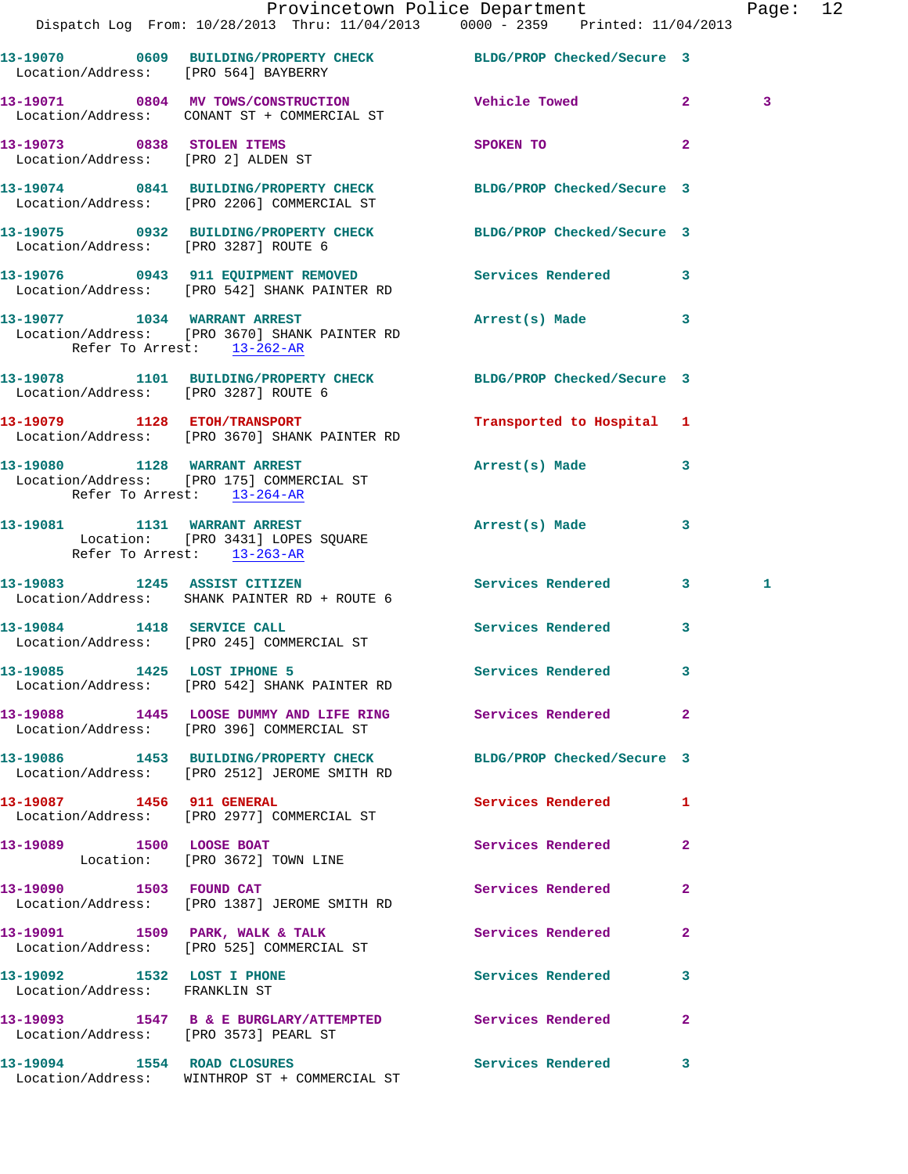|                                                                  |                                                                               | Provincetown Police Department<br>Dispatch Log From: 10/28/2013 Thru: 11/04/2013 0000 - 2359 Printed: 11/04/2013 |              | Page: 12 |  |
|------------------------------------------------------------------|-------------------------------------------------------------------------------|------------------------------------------------------------------------------------------------------------------|--------------|----------|--|
|                                                                  |                                                                               | 13-19070 0609 BUILDING/PROPERTY CHECK BLDG/PROP Checked/Secure 3<br>Location/Address: [PRO 564] BAYBERRY         |              |          |  |
|                                                                  | Location/Address: CONANT ST + COMMERCIAL ST                                   | 13-19071 0804 MV TOWS/CONSTRUCTION Vehicle Towed 2                                                               |              | 3        |  |
| 13-19073 0838 STOLEN ITEMS<br>Location/Address: [PRO 2] ALDEN ST |                                                                               | SPOKEN TO                                                                                                        | $\mathbf{2}$ |          |  |
|                                                                  |                                                                               | 13-19074 0841 BUILDING/PROPERTY CHECK BLDG/PROP Checked/Secure 3<br>Location/Address: [PRO 2206] COMMERCIAL ST   |              |          |  |
| Location/Address: [PRO 3287] ROUTE 6                             |                                                                               | 13-19075 0932 BUILDING/PROPERTY CHECK BLDG/PROP Checked/Secure 3                                                 |              |          |  |
|                                                                  | Location/Address: [PRO 542] SHANK PAINTER RD                                  | 13-19076 0943 911 EQUIPMENT REMOVED Services Rendered 3                                                          |              |          |  |
| Refer To Arrest: 13-262-AR                                       | 13-19077 1034 WARRANT ARREST<br>Location/Address: [PRO 3670] SHANK PAINTER RD | Arrest(s) Made 3                                                                                                 |              |          |  |
| Location/Address: [PRO 3287] ROUTE 6                             |                                                                               | 13-19078 1101 BUILDING/PROPERTY CHECK BLDG/PROP Checked/Secure 3                                                 |              |          |  |
|                                                                  | 13-19079 1128 ETOH/TRANSPORT<br>Location/Address: [PRO 3670] SHANK PAINTER RD | Transported to Hospital 1                                                                                        |              |          |  |
| Refer To Arrest: 13-264-AR                                       |                                                                               | Arrest(s) Made                                                                                                   | $\mathbf{3}$ |          |  |
| Refer To Arrest: 13-263-AR                                       | 13-19081 1131 WARRANT ARREST<br>Location: [PRO 3431] LOPES SQUARE             | Arrest(s) Made                                                                                                   | 3            |          |  |
|                                                                  | 13-19083 1245 ASSIST CITIZEN<br>Location/Address: SHANK PAINTER RD + ROUTE 6  | Services Rendered 3                                                                                              |              | 1        |  |
|                                                                  | 13-19084 1418 SERVICE CALL<br>Location/Address: [PRO 245] COMMERCIAL ST       | Services Rendered                                                                                                | $\mathbf{3}$ |          |  |
|                                                                  | 13-19085 1425 LOST IPHONE 5<br>Location/Address: [PRO 542] SHANK PAINTER RD   | Services Rendered 3                                                                                              |              |          |  |
|                                                                  | Location/Address: [PRO 396] COMMERCIAL ST                                     | 13-19088 1445 LOOSE DUMMY AND LIFE RING Services Rendered 2                                                      |              |          |  |
|                                                                  |                                                                               | 13-19086 1453 BUILDING/PROPERTY CHECK BLDG/PROP Checked/Secure 3<br>Location/Address: [PRO 2512] JEROME SMITH RD |              |          |  |
| 13-19087 1456 911 GENERAL                                        | Location/Address: [PRO 2977] COMMERCIAL ST                                    | Services Rendered 1                                                                                              |              |          |  |
|                                                                  | 13-19089 1500 LOOSE BOAT<br>Location: [PRO 3672] TOWN LINE                    | Services Rendered                                                                                                | $\mathbf{2}$ |          |  |
|                                                                  | 13-19090 1503 FOUND CAT<br>Location/Address: [PRO 1387] JEROME SMITH RD       | Services Rendered                                                                                                | $\mathbf{2}$ |          |  |
|                                                                  | 13-19091 1509 PARK, WALK & TALK<br>Location/Address: [PRO 525] COMMERCIAL ST  | <b>Services Rendered</b> 2                                                                                       |              |          |  |
| 13-19092 1532 LOST I PHONE<br>Location/Address: FRANKLIN ST      |                                                                               | Services Rendered                                                                                                | 3            |          |  |
| Location/Address: [PRO 3573] PEARL ST                            |                                                                               | 13-19093 1547 B & E BURGLARY/ATTEMPTED Services Rendered 2                                                       |              |          |  |
|                                                                  | 13-19094 1554 ROAD CLOSURES<br>Location/Address: WINTHROP ST + COMMERCIAL ST  | Services Rendered 3                                                                                              |              |          |  |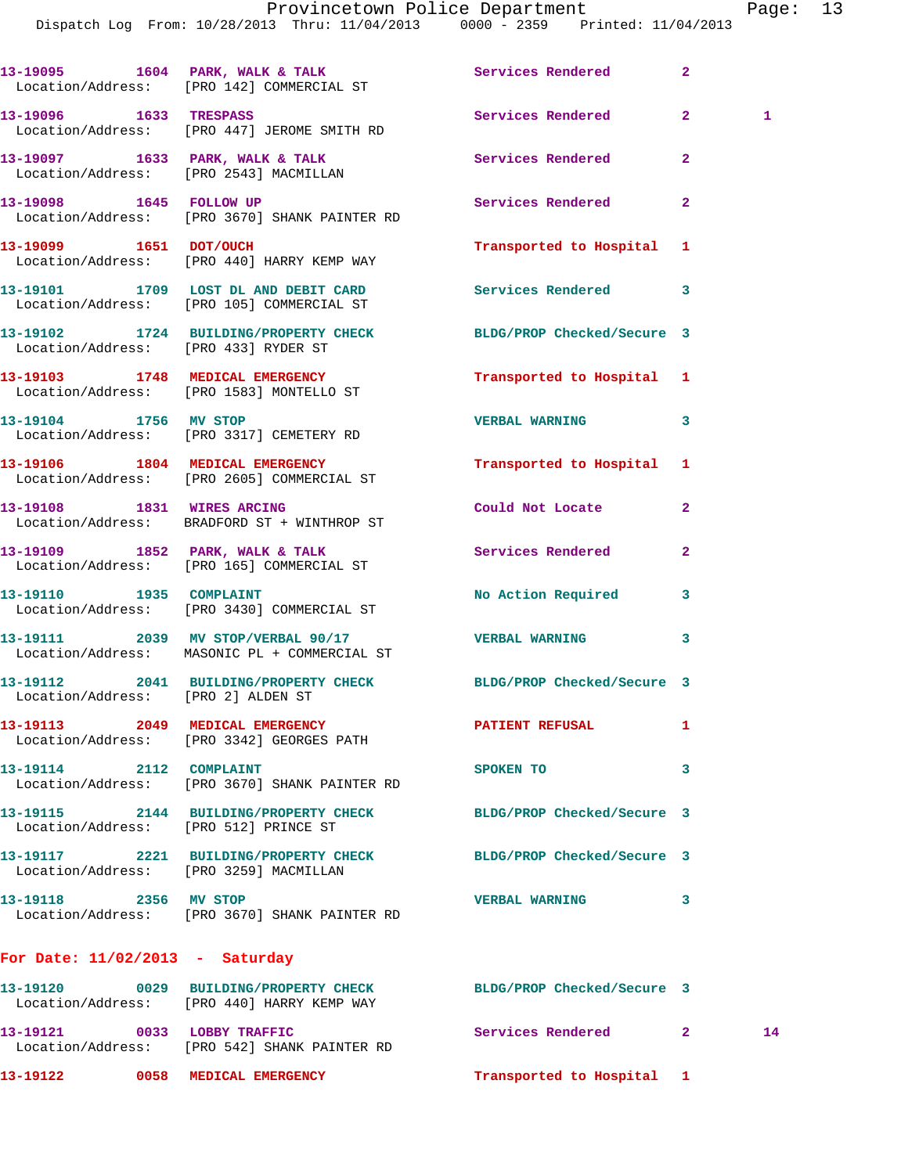Dispatch Log From: 10/28/2013 Thru: 11/04/2013 0000 - 2359 Printed: 11/04/2013

13-19095 1604 PARK, WALK & TALK **Services Rendered** 2 Location/Address: [PRO 142] COMMERCIAL ST **13-19096 1633 TRESPASS Services Rendered 2 1**  Location/Address: [PRO 447] JEROME SMITH RD **13-19097 1633 PARK, WALK & TALK Services Rendered 2**  Location/Address: [PRO 2543] MACMILLAN **13-19098 1645 FOLLOW UP Services Rendered 2**  Location/Address: [PRO 3670] SHANK PAINTER RD **13-19099 1651 DOT/OUCH Transported to Hospital 1**  Location/Address: [PRO 440] HARRY KEMP WAY **13-19101 1709 LOST DL AND DEBIT CARD Services Rendered 3**  Location/Address: [PRO 105] COMMERCIAL ST **13-19102 1724 BUILDING/PROPERTY CHECK BLDG/PROP Checked/Secure 3**  Location/Address: [PRO 433] RYDER ST **13-19103 1748 MEDICAL EMERGENCY Transported to Hospital 1**  Location/Address: [PRO 1583] MONTELLO ST **13-19104 1756 MV STOP VERBAL WARNING 3**  Location/Address: [PRO 3317] CEMETERY RD **13-19106 1804 MEDICAL EMERGENCY Transported to Hospital 1**  Location/Address: [PRO 2605] COMMERCIAL ST **13-19108 1831 WIRES ARCING Could Not Locate 2**  Location/Address: BRADFORD ST + WINTHROP ST **13-19109 1852 PARK, WALK & TALK Services Rendered 2**  Location/Address: [PRO 165] COMMERCIAL ST 13-19110 1935 COMPLAINT **13-19110** No Action Required 3 Location/Address: [PRO 3430] COMMERCIAL ST **13-19111 2039 MV STOP/VERBAL 90/17 VERBAL WARNING 3**  Location/Address: MASONIC PL + COMMERCIAL ST **13-19112 2041 BUILDING/PROPERTY CHECK BLDG/PROP Checked/Secure 3**  Location/Address: [PRO 2] ALDEN ST **13-19113 2049 MEDICAL EMERGENCY PATIENT REFUSAL 1**  Location/Address: [PRO 3342] GEORGES PATH **13-19114 2112 COMPLAINT SPOKEN TO 3**  Location/Address: [PRO 3670] SHANK PAINTER RD **13-19115 2144 BUILDING/PROPERTY CHECK BLDG/PROP Checked/Secure 3**  Location/Address: [PRO 512] PRINCE ST **13-19117 2221 BUILDING/PROPERTY CHECK BLDG/PROP Checked/Secure 3**  Location/Address: [PRO 3259] MACMILLAN **13-19118 2356 MV STOP VERBAL WARNING 3**  Location/Address: [PRO 3670] SHANK PAINTER RD **For Date: 11/02/2013 - Saturday 13-19120 0029 BUILDING/PROPERTY CHECK BLDG/PROP Checked/Secure 3**  Location/Address: [PRO 440] HARRY KEMP WAY **13-19121 0033 LOBBY TRAFFIC Services Rendered 2 14**  Location/Address: [PRO 542] SHANK PAINTER RD

**13-19122 0058 MEDICAL EMERGENCY Transported to Hospital 1**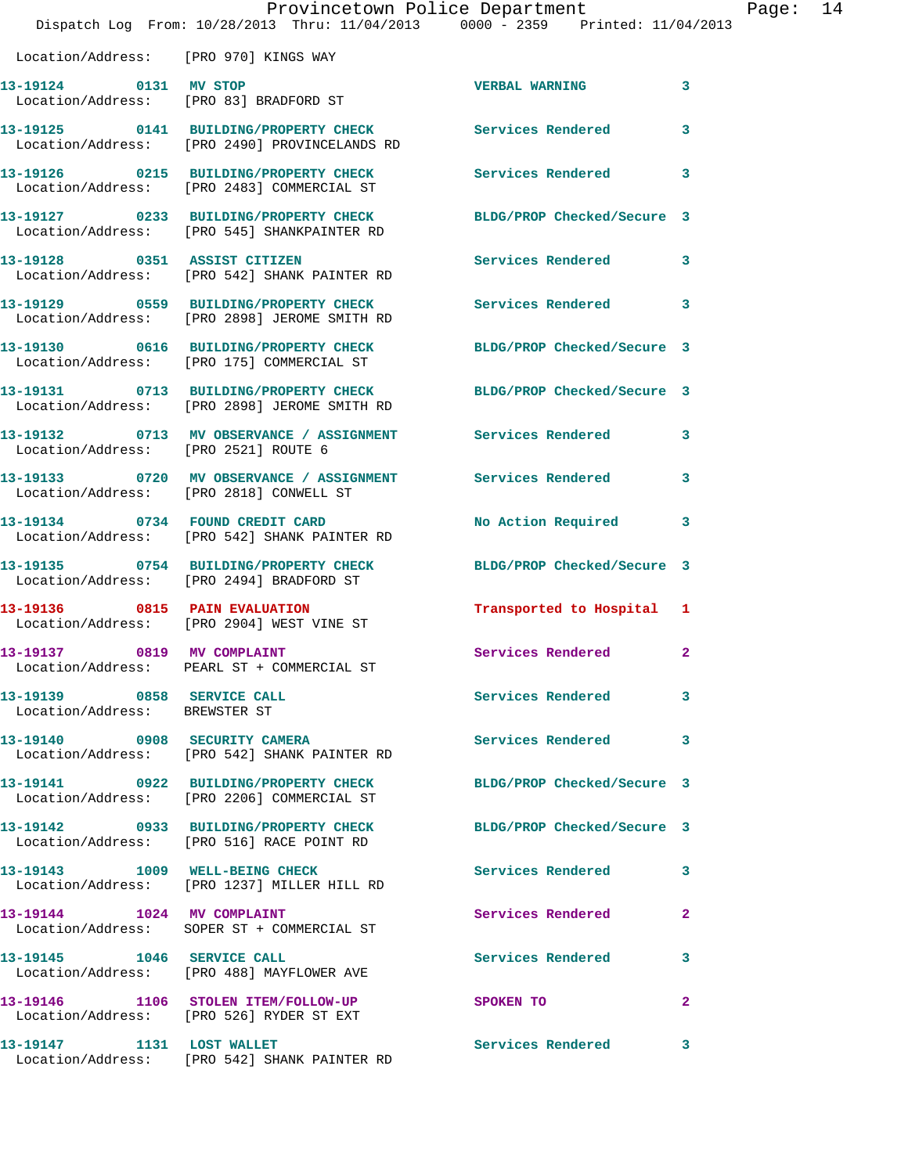|                                                                 | Dispatch Log From: 10/28/2013 Thru: 11/04/2013 0000 - 2359 Printed: 11/04/2013                                   | Provincetown Police Department |              | Page: 14 |  |
|-----------------------------------------------------------------|------------------------------------------------------------------------------------------------------------------|--------------------------------|--------------|----------|--|
| Location/Address: [PRO 970] KINGS WAY                           |                                                                                                                  |                                |              |          |  |
| 13-19124 0131 MV STOP<br>Location/Address: [PRO 83] BRADFORD ST |                                                                                                                  | <b>VERBAL WARNING</b>          | 3            |          |  |
|                                                                 | 13-19125 0141 BUILDING/PROPERTY CHECK Services Rendered<br>Location/Address: [PRO 2490] PROVINCELANDS RD         |                                | 3            |          |  |
|                                                                 | 13-19126 0215 BUILDING/PROPERTY CHECK<br>Location/Address: [PRO 2483] COMMERCIAL ST                              | Services Rendered              | 3            |          |  |
|                                                                 | 13-19127 0233 BUILDING/PROPERTY CHECK BLDG/PROP Checked/Secure 3<br>Location/Address: [PRO 545] SHANKPAINTER RD  |                                |              |          |  |
|                                                                 | 13-19128 0351 ASSIST CITIZEN<br>Location/Address: [PRO 542] SHANK PAINTER RD                                     | Services Rendered 3            |              |          |  |
|                                                                 | 13-19129 0559 BUILDING/PROPERTY CHECK Services Rendered<br>Location/Address: [PRO 2898] JEROME SMITH RD          |                                | 3            |          |  |
|                                                                 | 13-19130 0616 BUILDING/PROPERTY CHECK BLDG/PROP Checked/Secure 3<br>Location/Address: [PRO 175] COMMERCIAL ST    |                                |              |          |  |
|                                                                 | 13-19131 0713 BUILDING/PROPERTY CHECK BLDG/PROP Checked/Secure 3<br>Location/Address: [PRO 2898] JEROME SMITH RD |                                |              |          |  |
| Location/Address: [PRO 2521] ROUTE 6                            | 13-19132 0713 MV OBSERVANCE / ASSIGNMENT Services Rendered 3                                                     |                                |              |          |  |
|                                                                 |                                                                                                                  |                                | 3            |          |  |
|                                                                 | 13-19134 0734 FOUND CREDIT CARD<br>Location/Address: [PRO 542] SHANK PAINTER RD                                  | No Action Required             | 3            |          |  |
|                                                                 | 13-19135 0754 BUILDING/PROPERTY CHECK<br>Location/Address: [PRO 2494] BRADFORD ST                                | BLDG/PROP Checked/Secure 3     |              |          |  |
|                                                                 | 13-19136 0815 PAIN EVALUATION<br>Location/Address: [PRO 2904] WEST VINE ST                                       | Transported to Hospital 1      |              |          |  |
| 13-19137 0819 MV COMPLAINT                                      | Location/Address: PEARL ST + COMMERCIAL ST                                                                       | Services Rendered              | $\mathbf{2}$ |          |  |
| 13-19139 0858 SERVICE CALL<br>Location/Address: BREWSTER ST     |                                                                                                                  | Services Rendered 3            |              |          |  |
|                                                                 | 13-19140 0908 SECURITY CAMERA<br>Location/Address: [PRO 542] SHANK PAINTER RD                                    | Services Rendered              | 3            |          |  |
|                                                                 | 13-19141 0922 BUILDING/PROPERTY CHECK BLDG/PROP Checked/Secure 3<br>Location/Address: [PRO 2206] COMMERCIAL ST   |                                |              |          |  |
|                                                                 | 13-19142 0933 BUILDING/PROPERTY CHECK BLDG/PROP Checked/Secure 3<br>Location/Address: [PRO 516] RACE POINT RD    |                                |              |          |  |
|                                                                 | 13-19143 1009 WELL-BEING CHECK<br>Location/Address: [PRO 1237] MILLER HILL RD                                    | <b>Services Rendered</b>       | 3            |          |  |
|                                                                 | 13-19144 1024 MV COMPLAINT<br>Location/Address: SOPER ST + COMMERCIAL ST                                         | Services Rendered              | $\mathbf{2}$ |          |  |
| 13-19145   1046   SERVICE CALL                                  | Location/Address: [PRO 488] MAYFLOWER AVE                                                                        | Services Rendered              | 3            |          |  |
|                                                                 | 13-19146 1106 STOLEN ITEM/FOLLOW-UP<br>Location/Address: [PRO 526] RYDER ST EXT                                  | SPOKEN TO                      | $\mathbf{2}$ |          |  |
| 13-19147 1131 LOST WALLET                                       | Location/Address: [PRO 542] SHANK PAINTER RD                                                                     | Services Rendered              | 3            |          |  |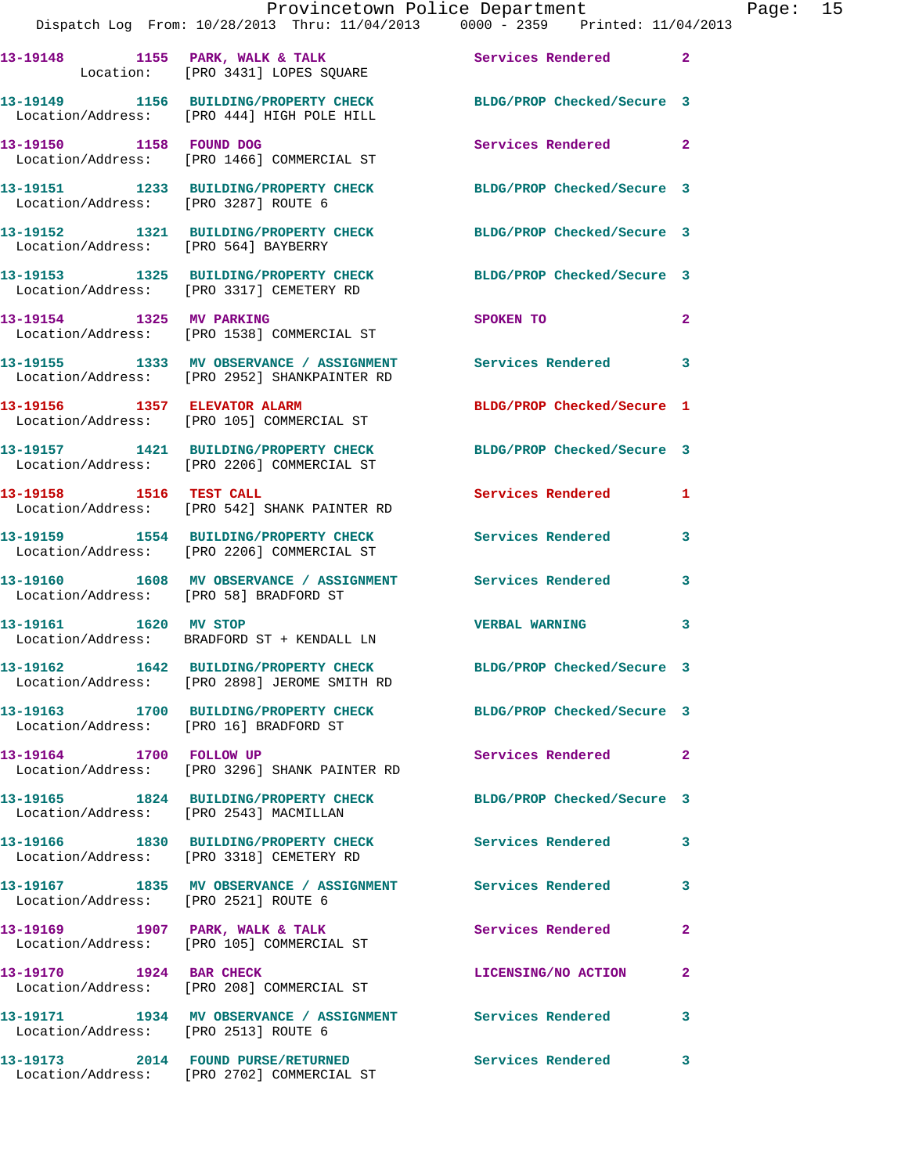|                                        | Dispatch Log From: 10/28/2013 Thru: 11/04/2013 0000 - 2359 Printed: 11/04/2013                                 | Provincetown Police Department The Rage: 15 |  |
|----------------------------------------|----------------------------------------------------------------------------------------------------------------|---------------------------------------------|--|
|                                        | 13-19148 1155 PARK, WALK & TALK 1991 Services Rendered 2<br>Location: [PRO 3431] LOPES SQUARE                  |                                             |  |
|                                        | 13-19149 1156 BUILDING/PROPERTY CHECK BLDG/PROP Checked/Secure 3<br>Location/Address: [PRO 444] HIGH POLE HILL |                                             |  |
|                                        | 13-19150 1158 FOUND DOG<br>Location/Address: [PRO 1466] COMMERCIAL ST                                          | Services Rendered 2                         |  |
|                                        | 13-19151 1233 BUILDING/PROPERTY CHECK BLDG/PROP Checked/Secure 3<br>Location/Address: [PRO 3287] ROUTE 6       |                                             |  |
|                                        | 13-19152 1321 BUILDING/PROPERTY CHECK BLDG/PROP Checked/Secure 3<br>Location/Address: [PRO 564] BAYBERRY       |                                             |  |
|                                        | 13-19153 1325 BUILDING/PROPERTY CHECK BLDG/PROP Checked/Secure 3<br>Location/Address: [PRO 3317] CEMETERY RD   |                                             |  |
|                                        | 13-19154 1325 MV PARKING<br>Location/Address: [PRO 1538] COMMERCIAL ST                                         | SPOKEN TO<br>$\mathbf{2}$                   |  |
|                                        | 13-19155 1333 MV OBSERVANCE / ASSIGNMENT Services Rendered 3<br>Location/Address: [PRO 2952] SHANKPAINTER RD   |                                             |  |
|                                        |                                                                                                                | BLDG/PROP Checked/Secure 1                  |  |
|                                        | 13-19157 1421 BUILDING/PROPERTY CHECK BLDG/PROP Checked/Secure 3<br>Location/Address: [PRO 2206] COMMERCIAL ST |                                             |  |
| 13-19158 1516 TEST CALL                | Location/Address: [PRO 542] SHANK PAINTER RD                                                                   | Services Rendered 1                         |  |
|                                        | 13-19159 1554 BUILDING/PROPERTY CHECK Services Rendered<br>Location/Address: [PRO 2206] COMMERCIAL ST          | 3                                           |  |
|                                        | 13-19160 1608 MV OBSERVANCE / ASSIGNMENT Services Rendered 3<br>Location/Address: [PRO 58] BRADFORD ST         |                                             |  |
|                                        | 13-19161 1620 MV STOP<br>Location/Address: BRADFORD ST + KENDALL LN                                            | VERBAL WARNING 3                            |  |
|                                        | 13-19162 1642 BUILDING/PROPERTY CHECK<br>Location/Address: [PRO 2898] JEROME SMITH RD                          | BLDG/PROP Checked/Secure 3                  |  |
| Location/Address: [PRO 16] BRADFORD ST | 13-19163 1700 BUILDING/PROPERTY CHECK BLDG/PROP Checked/Secure 3                                               |                                             |  |
| 13-19164 1700 FOLLOW UP                | Location/Address: [PRO 3296] SHANK PAINTER RD                                                                  | Services Rendered 2                         |  |
|                                        | 13-19165 1824 BUILDING/PROPERTY CHECK BLDG/PROP Checked/Secure 3<br>Location/Address: [PRO 2543] MACMILLAN     |                                             |  |
|                                        | 13-19166 1830 BUILDING/PROPERTY CHECK Services Rendered 3<br>Location/Address: [PRO 3318] CEMETERY RD          |                                             |  |
| Location/Address: [PRO 2521] ROUTE 6   | 13-19167 1835 MV OBSERVANCE / ASSIGNMENT Services Rendered                                                     | 3                                           |  |
|                                        | 13-19169 1907 PARK, WALK & TALK 1998 Services Rendered<br>Location/Address: [PRO 105] COMMERCIAL ST            | $\mathbf{2}$                                |  |
|                                        | 13-19170 1924 BAR CHECK<br>Location/Address: [PRO 208] COMMERCIAL ST                                           | LICENSING/NO ACTION<br>2                    |  |
| Location/Address: [PRO 2513] ROUTE 6   | 13-19171 1934 MV OBSERVANCE / ASSIGNMENT Services Rendered                                                     | 3                                           |  |
|                                        | 13-19173 2014 FOUND PURSE/RETURNED<br>Location/Address: [PRO 2702] COMMERCIAL ST                               | Services Rendered<br>3                      |  |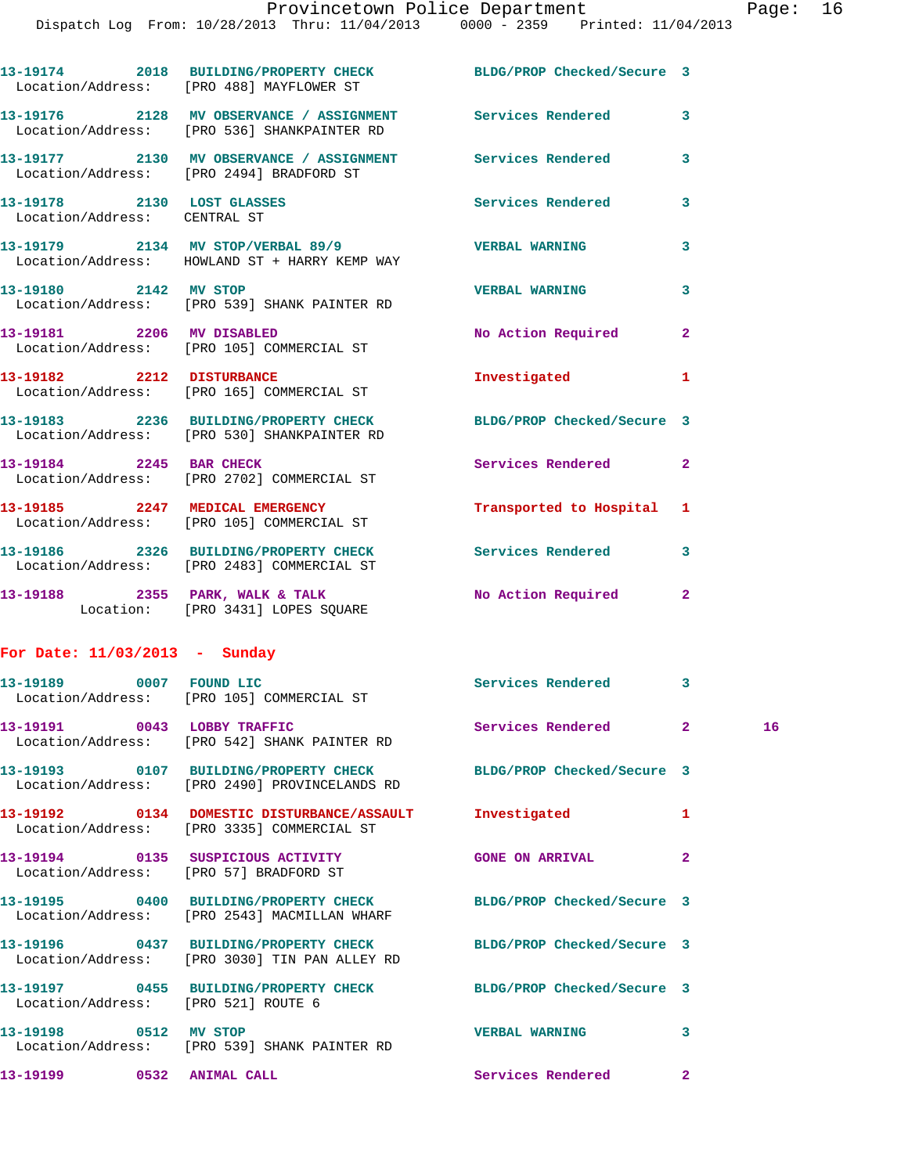|                                     | 13-19174 2018 BUILDING/PROPERTY CHECK BLDG/PROP Checked/Secure 3<br>Location/Address: [PRO 488] MAYFLOWER ST      |                           |                |    |
|-------------------------------------|-------------------------------------------------------------------------------------------------------------------|---------------------------|----------------|----|
|                                     | 13-19176 2128 MV OBSERVANCE / ASSIGNMENT Services Rendered<br>Location/Address: [PRO 536] SHANKPAINTER RD         |                           | 3              |    |
|                                     | 13-19177 2130 MV OBSERVANCE / ASSIGNMENT Services Rendered<br>Location/Address: [PRO 2494] BRADFORD ST            |                           | 3              |    |
| Location/Address: CENTRAL ST        | 13-19178 2130 LOST GLASSES                                                                                        | Services Rendered         | 3              |    |
|                                     | 13-19179 2134 MV STOP/VERBAL 89/9 VERBAL WARNING<br>Location/Address: HOWLAND ST + HARRY KEMP WAY                 |                           | 3              |    |
|                                     | 13-19180 2142 MV STOP<br>Location/Address: [PRO 539] SHANK PAINTER RD                                             | <b>VERBAL WARNING</b>     | 3              |    |
|                                     | 13-19181 2206 MV DISABLED<br>Location/Address: [PRO 105] COMMERCIAL ST                                            | No Action Required        | $\mathbf{2}$   |    |
|                                     | 13-19182 2212 DISTURBANCE<br>Location/Address: [PRO 165] COMMERCIAL ST                                            | Investigated              | 1              |    |
|                                     | 13-19183 2236 BUILDING/PROPERTY CHECK BLDG/PROP Checked/Secure 3<br>Location/Address: [PRO 530] SHANKPAINTER RD   |                           |                |    |
|                                     | 13-19184 2245 BAR CHECK<br>Location/Address: [PRO 2702] COMMERCIAL ST                                             | <b>Services Rendered</b>  | $\overline{a}$ |    |
|                                     | 13-19185 2247 MEDICAL EMERGENCY<br>Location/Address: [PRO 105] COMMERCIAL ST                                      | Transported to Hospital 1 |                |    |
|                                     | 13-19186 2326 BUILDING/PROPERTY CHECK Services Rendered<br>Location/Address: [PRO 2483] COMMERCIAL ST             |                           | 3              |    |
|                                     | 13-19188 2355 PARK, WALK & TALK NO Action Required<br>Location: [PRO 3431] LOPES SQUARE                           |                           | 2              |    |
| For Date: $11/03/2013$ - Sunday     |                                                                                                                   |                           |                |    |
|                                     | 13-19189 0007 FOUND LIC<br>Location/Address: [PRO 105] COMMERCIAL ST                                              | Services Rendered 3       |                |    |
|                                     | 13-19191 0043 LOBBY TRAFFIC<br>Location/Address: [PRO 542] SHANK PAINTER RD                                       | Services Rendered 2       |                | 16 |
|                                     | 13-19193 0107 BUILDING/PROPERTY CHECK BLDG/PROP Checked/Secure 3<br>Location/Address: [PRO 2490] PROVINCELANDS RD |                           |                |    |
|                                     | 13-19192 0134 DOMESTIC DISTURBANCE/ASSAULT Investigated<br>Location/Address: [PRO 3335] COMMERCIAL ST             |                           | 1              |    |
|                                     | 13-19194 0135 SUSPICIOUS ACTIVITY<br>Location/Address: [PRO 57] BRADFORD ST                                       | <b>GONE ON ARRIVAL</b>    | $\mathbf{2}$   |    |
|                                     | 13-19195 0400 BUILDING/PROPERTY CHECK BLDG/PROP Checked/Secure 3<br>Location/Address: [PRO 2543] MACMILLAN WHARF  |                           |                |    |
|                                     | 13-19196 0437 BUILDING/PROPERTY CHECK BLDG/PROP Checked/Secure 3<br>Location/Address: [PRO 3030] TIN PAN ALLEY RD |                           |                |    |
| Location/Address: [PRO 521] ROUTE 6 | 13-19197 0455 BUILDING/PROPERTY CHECK BLDG/PROP Checked/Secure 3                                                  |                           |                |    |
| 13-19198 0512 MV STOP               | Location/Address: [PRO 539] SHANK PAINTER RD                                                                      | <b>VERBAL WARNING</b>     | 3              |    |

**13-19199 0532 ANIMAL CALL Services Rendered 2**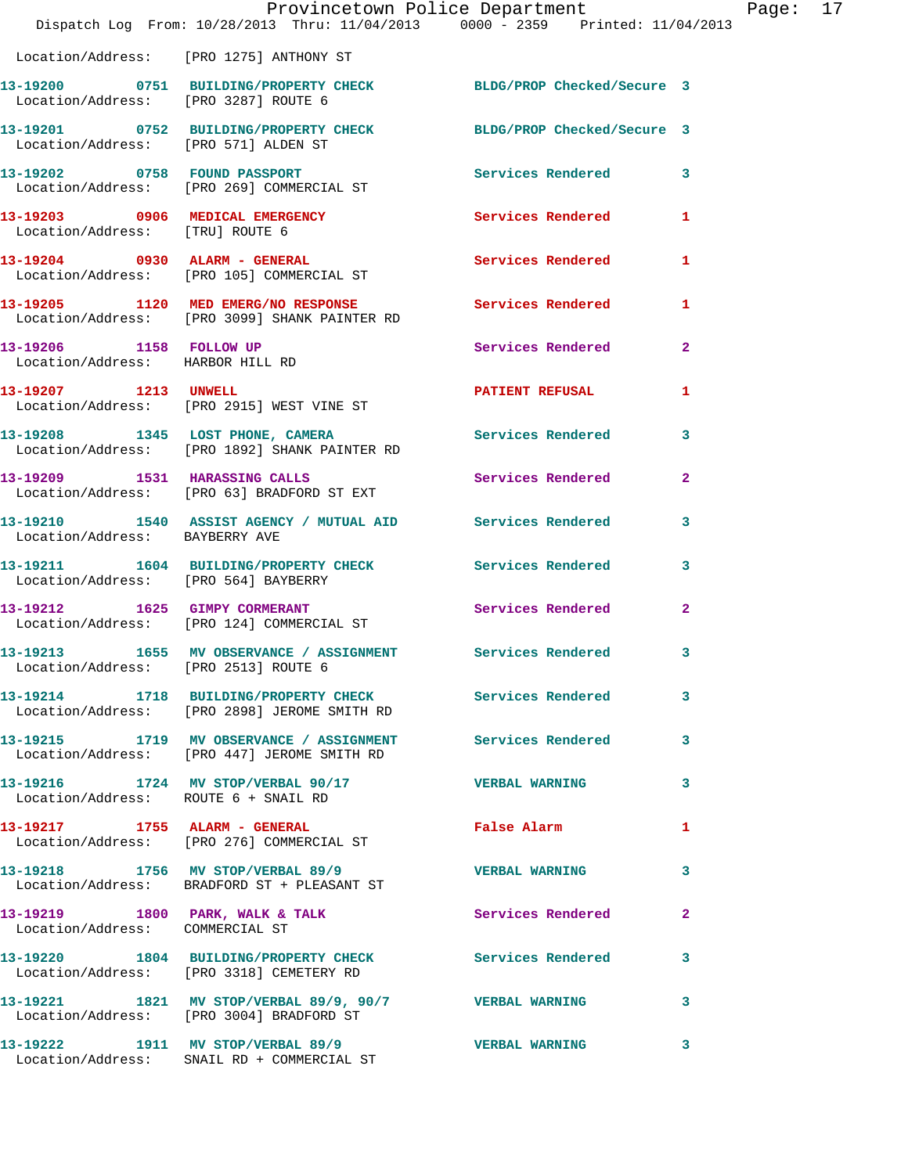|                                                             | Provincetown Police Department<br>Dispatch Log From: 10/28/2013 Thru: 11/04/2013 0000 - 2359 Printed: 11/04/2013 |                          |                |
|-------------------------------------------------------------|------------------------------------------------------------------------------------------------------------------|--------------------------|----------------|
|                                                             | Location/Address: [PRO 1275] ANTHONY ST                                                                          |                          |                |
| Location/Address: [PRO 3287] ROUTE 6                        | 13-19200 0751 BUILDING/PROPERTY CHECK BLDG/PROP Checked/Secure 3                                                 |                          |                |
| Location/Address: [PRO 571] ALDEN ST                        | 13-19201 0752 BUILDING/PROPERTY CHECK BLDG/PROP Checked/Secure 3                                                 |                          |                |
|                                                             | 13-19202 0758 FOUND PASSPORT<br>Location/Address: [PRO 269] COMMERCIAL ST                                        | <b>Services Rendered</b> | 3              |
| Location/Address: [TRU] ROUTE 6                             | 13-19203 0906 MEDICAL EMERGENCY                                                                                  | Services Rendered        | 1              |
|                                                             | 13-19204 0930 ALARM - GENERAL<br>Location/Address: [PRO 105] COMMERCIAL ST                                       | <b>Services Rendered</b> | 1              |
|                                                             | 13-19205 1120 MED EMERG/NO RESPONSE 5ervices Rendered<br>Location/Address: [PRO 3099] SHANK PAINTER RD           |                          | 1              |
| 13-19206 1158 FOLLOW UP<br>Location/Address: HARBOR HILL RD |                                                                                                                  | Services Rendered        | $\overline{2}$ |
| 13-19207 1213 UNWELL                                        | Location/Address: [PRO 2915] WEST VINE ST                                                                        | <b>PATIENT REFUSAL</b>   | 1              |
|                                                             | 13-19208 1345 LOST PHONE, CAMERA<br>Location/Address: [PRO 1892] SHANK PAINTER RD                                | Services Rendered        | 3              |
|                                                             | 13-19209 1531 HARASSING CALLS<br>Location/Address: [PRO 63] BRADFORD ST EXT                                      | Services Rendered        | $\mathbf{2}$   |
| Location/Address: BAYBERRY AVE                              | 13-19210 1540 ASSIST AGENCY / MUTUAL AID Services Rendered                                                       |                          | 3              |
| Location/Address: [PRO 564] BAYBERRY                        | 13-19211 1604 BUILDING/PROPERTY CHECK Services Rendered                                                          |                          | 3              |
|                                                             | 13-19212 1625 GIMPY CORMERANT<br>Location/Address: [PRO 124] COMMERCIAL ST                                       | Services Rendered        | $\overline{a}$ |
| 13-19213<br>Location/Address: [PRO 2513] ROUTE 6            | 1655 MV OBSERVANCE / ASSIGNMENT                                                                                  | Services Rendered        | 3              |
|                                                             | 13-19214 1718 BUILDING/PROPERTY CHECK Services Rendered<br>Location/Address: [PRO 2898] JEROME SMITH RD          |                          | 3              |
|                                                             | 13-19215 1719 MV OBSERVANCE / ASSIGNMENT Services Rendered<br>Location/Address: [PRO 447] JEROME SMITH RD        |                          | 3              |
| Location/Address: ROUTE 6 + SNAIL RD                        | 13-19216 1724 MV STOP/VERBAL 90/17                                                                               | <b>VERBAL WARNING</b>    | 3              |
|                                                             | 13-19217 1755 ALARM - GENERAL<br>Location/Address: [PRO 276] COMMERCIAL ST                                       | <b>False Alarm</b>       | 1              |
|                                                             | 13-19218 1756 MV STOP/VERBAL 89/9<br>Location/Address: BRADFORD ST + PLEASANT ST                                 | <b>VERBAL WARNING</b>    | 3              |
| Location/Address: COMMERCIAL ST                             | 13-19219 1800 PARK, WALK & TALK                                                                                  | <b>Services Rendered</b> | $\mathbf{2}$   |
|                                                             | 13-19220 1804 BUILDING/PROPERTY CHECK Services Rendered<br>Location/Address: [PRO 3318] CEMETERY RD              |                          | 3              |
|                                                             | 13-19221 1821 MV STOP/VERBAL 89/9, 90/7 VERBAL WARNING<br>Location/Address: [PRO 3004] BRADFORD ST               |                          | 3              |
|                                                             | 13-19222 1911 MV STOP/VERBAL 89/9<br>Location/Address: SNAIL RD + COMMERCIAL ST                                  | <b>VERBAL WARNING</b>    | 3              |

Page: 17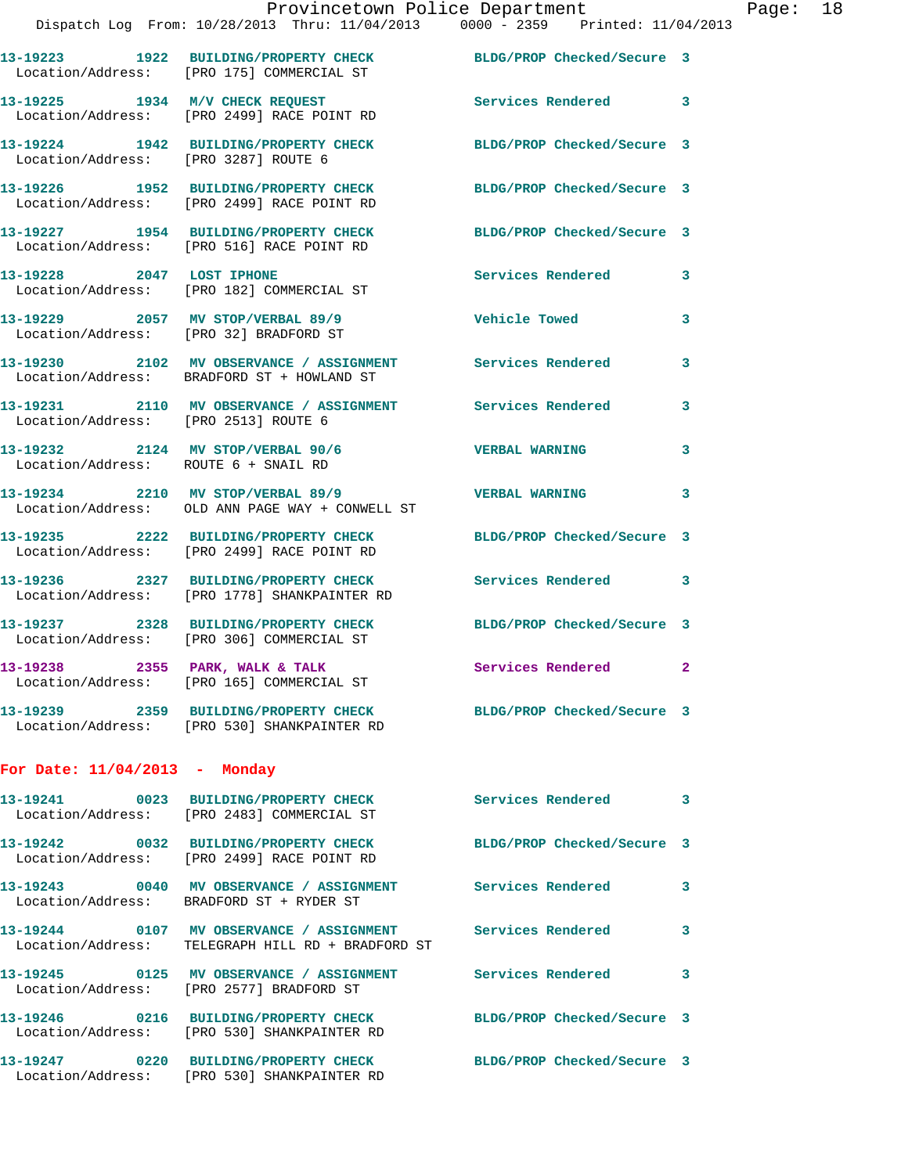|                                        | Location/Address: [PRO 175] COMMERCIAL ST                                                                |                            |                         |
|----------------------------------------|----------------------------------------------------------------------------------------------------------|----------------------------|-------------------------|
|                                        | 13-19225 1934 M/V CHECK REQUEST<br>Location/Address: [PRO 2499] RACE POINT RD                            | Services Rendered 3        |                         |
| Location/Address: [PRO 3287] ROUTE 6   | 13-19224 1942 BUILDING/PROPERTY CHECK                                                                    | BLDG/PROP Checked/Secure 3 |                         |
|                                        | 13-19226 1952 BUILDING/PROPERTY CHECK<br>Location/Address: [PRO 2499] RACE POINT RD                      | BLDG/PROP Checked/Secure 3 |                         |
|                                        | 13-19227 1954 BUILDING/PROPERTY CHECK<br>Location/Address: [PRO 516] RACE POINT RD                       | BLDG/PROP Checked/Secure 3 |                         |
|                                        | 13-19228 2047 LOST IPHONE<br>Location/Address: [PRO 182] COMMERCIAL ST                                   | Services Rendered          | $\mathbf{3}$            |
| Location/Address: [PRO 32] BRADFORD ST | 13-19229 2057 MV STOP/VERBAL 89/9                                                                        | <b>Vehicle Towed</b>       | 3                       |
|                                        | 13-19230 2102 MV OBSERVANCE / ASSIGNMENT Services Rendered<br>Location/Address: BRADFORD ST + HOWLAND ST |                            | 3                       |
| Location/Address: [PRO 2513] ROUTE 6   | 13-19231 2110 MV OBSERVANCE / ASSIGNMENT Services Rendered                                               |                            | 3                       |
| Location/Address: ROUTE 6 + SNAIL RD   | 13-19232 2124 MV STOP/VERBAL 90/6                                                                        | <b>VERBAL WARNING</b>      | 3                       |
|                                        | 13-19234 2210 MV STOP/VERBAL 89/9<br>Location/Address: OLD ANN PAGE WAY + CONWELL ST                     | <b>VERBAL WARNING</b>      | 3                       |
|                                        | 13-19235 2222 BUILDING/PROPERTY CHECK<br>Location/Address: [PRO 2499] RACE POINT RD                      | BLDG/PROP Checked/Secure 3 |                         |
|                                        | 13-19236 2327 BUILDING/PROPERTY CHECK<br>Location/Address: [PRO 1778] SHANKPAINTER RD                    | <b>Services Rendered</b>   | 3                       |
|                                        | 13-19237 2328 BUILDING/PROPERTY CHECK<br>Location/Address: [PRO 306] COMMERCIAL ST                       | BLDG/PROP Checked/Secure 3 |                         |
|                                        | 13-19238 2355 PARK, WALK & TALK<br>Location/Address: [PRO 165] COMMERCIAL ST                             | Services Rendered          | $\mathbf{2}$            |
|                                        | 13-19239 2359 BUILDING/PROPERTY CHECK<br>Location/Address: [PRO 530] SHANKPAINTER RD                     | BLDG/PROP Checked/Secure 3 |                         |
| For Date: $11/04/2013$ - Monday        |                                                                                                          |                            |                         |
|                                        | 13-19241 0023 BUILDING/PROPERTY CHECK<br>Location/Address: [PRO 2483] COMMERCIAL ST                      | Services Rendered          | $\overline{\mathbf{3}}$ |
|                                        | 13-19242 0032 BUILDING/PROPERTY CHECK<br>Location/Address: [PRO 2499] RACE POINT RD                      | BLDG/PROP Checked/Secure 3 |                         |
|                                        | 13-19243 0040 MV OBSERVANCE / ASSIGNMENT Services Rendered 3<br>Location/Address: BRADFORD ST + RYDER ST |                            |                         |
|                                        |                                                                                                          |                            |                         |

| 13-19241  0023 BUILDING/PROPERTY CHECK<br>Location/Address: [PRO 2483] COMMERCIAL ST                                  | <b>Services Rendered</b>   | $\overline{3}$ |
|-----------------------------------------------------------------------------------------------------------------------|----------------------------|----------------|
| Location/Address: [PRO 2499] RACE POINT RD                                                                            | BLDG/PROP Checked/Secure 3 |                |
| 13-19243      0040   MV OBSERVANCE / ASSIGNMENT      Services Rendered<br>  Location/Address:  BRADFORD ST + RYDER ST |                            | $\mathbf{3}$   |
| Location/Address: TELEGRAPH HILL RD + BRADFORD ST                                                                     | <b>Services Rendered</b>   | $\mathbf{3}$   |
| 13-19245      0125   MV OBSERVANCE / ASSIGNMENT      Services Rendered<br>Location/Address: [PRO 2577] BRADFORD ST    |                            | $\mathbf{3}$   |
| Location/Address: [PRO 530] SHANKPAINTER RD                                                                           | BLDG/PROP Checked/Secure 3 |                |
| Location/Address: [PRO 530] SHANKPAINTER RD                                                                           | BLDG/PROP Checked/Secure 3 |                |